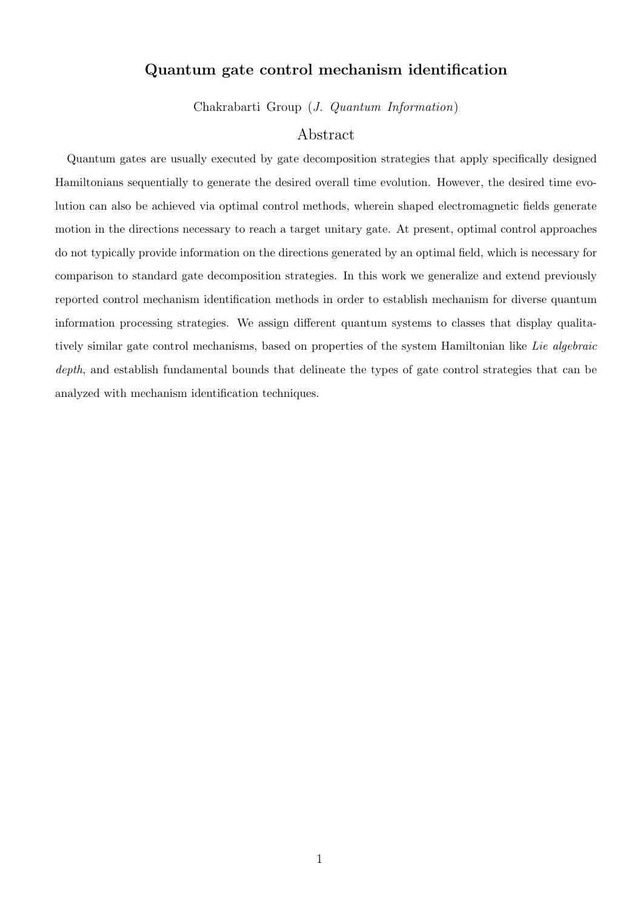### **Quantum gate control mechanism identification**

Chakrabarti Group (*J. Quantum Information*)

### Abstract

Quantum gates are usually executed by gate decomposition strategies that apply specifically designed Hamiltonians sequentially to generate the desired overall time evolution. However, the desired time evolution can also be achieved via optimal control methods, wherein shaped electromagnetic fields generate motion in the directions necessary to reach a target unitary gate. At present, optimal control approaches do not typically provide information on the directions generated by an optimal field, which is necessary for comparison to standard gate decomposition strategies. In this work we generalize and extend previously reported control mechanism identification methods in order to establish mechanism for diverse quantum information processing strategies. We assign different quantum systems to classes that display qualitatively similar gate control mechanisms, based on properties of the system Hamiltonian like *Lie algebraic depth*, and establish fundamental bounds that delineate the types of gate control strategies that can be analyzed with mechanism identification techniques.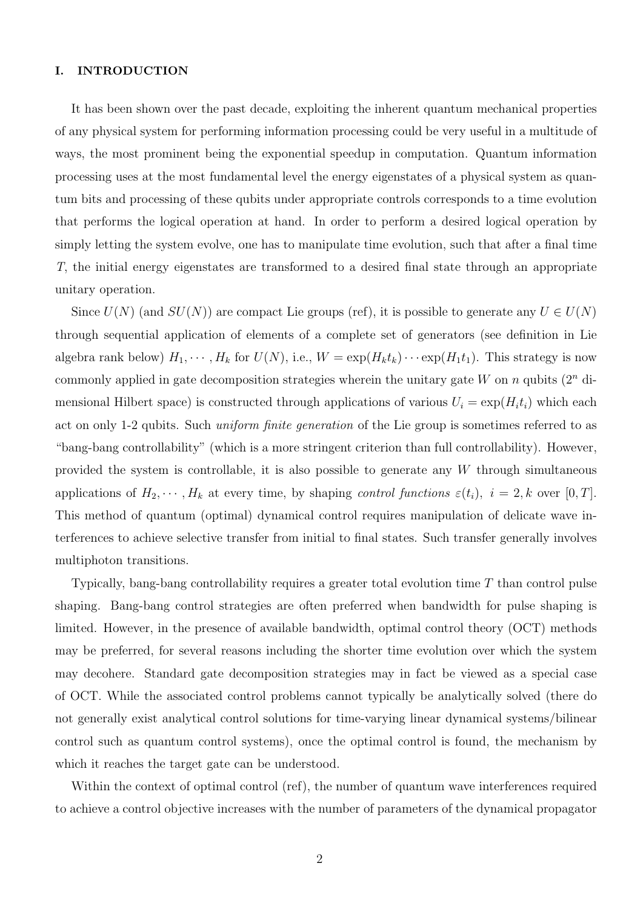#### **I. INTRODUCTION**

It has been shown over the past decade, exploiting the inherent quantum mechanical properties of any physical system for performing information processing could be very useful in a multitude of ways, the most prominent being the exponential speedup in computation. Quantum information processing uses at the most fundamental level the energy eigenstates of a physical system as quantum bits and processing of these qubits under appropriate controls corresponds to a time evolution that performs the logical operation at hand. In order to perform a desired logical operation by simply letting the system evolve, one has to manipulate time evolution, such that after a final time *T*, the initial energy eigenstates are transformed to a desired final state through an appropriate unitary operation.

Since  $U(N)$  (and  $SU(N)$ ) are compact Lie groups (ref), it is possible to generate any  $U \in U(N)$ through sequential application of elements of a complete set of generators (see definition in Lie algebra rank below)  $H_1, \cdots, H_k$  for  $U(N)$ , i.e.,  $W = \exp(H_k t_k) \cdots \exp(H_1 t_1)$ . This strategy is now commonly applied in gate decomposition strategies wherein the unitary gate *W* on *n* qubits (2*<sup>n</sup>* dimensional Hilbert space) is constructed through applications of various  $U_i = \exp(H_i t_i)$  which each act on only 1-2 qubits. Such *uniform finite generation* of the Lie group is sometimes referred to as "bang-bang controllability" (which is a more stringent criterion than full controllability). However, provided the system is controllable, it is also possible to generate any *W* through simultaneous applications of  $H_2, \dots, H_k$  at every time, by shaping *control functions*  $\varepsilon(t_i)$ ,  $i = 2, k$  over  $[0, T]$ . This method of quantum (optimal) dynamical control requires manipulation of delicate wave interferences to achieve selective transfer from initial to final states. Such transfer generally involves multiphoton transitions.

Typically, bang-bang controllability requires a greater total evolution time *T* than control pulse shaping. Bang-bang control strategies are often preferred when bandwidth for pulse shaping is limited. However, in the presence of available bandwidth, optimal control theory (OCT) methods may be preferred, for several reasons including the shorter time evolution over which the system may decohere. Standard gate decomposition strategies may in fact be viewed as a special case of OCT. While the associated control problems cannot typically be analytically solved (there do not generally exist analytical control solutions for time-varying linear dynamical systems/bilinear control such as quantum control systems), once the optimal control is found, the mechanism by which it reaches the target gate can be understood.

Within the context of optimal control (ref), the number of quantum wave interferences required to achieve a control objective increases with the number of parameters of the dynamical propagator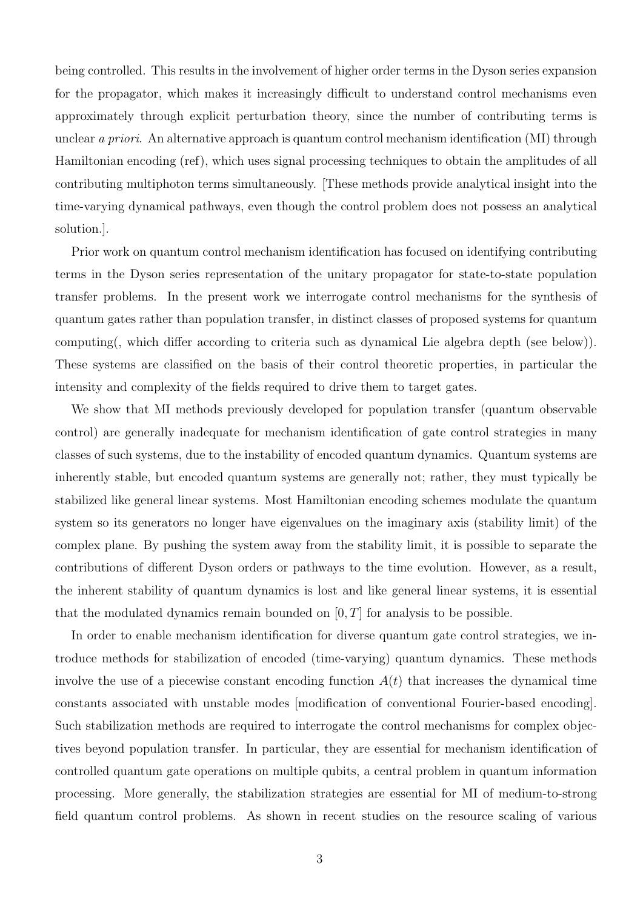being controlled. This results in the involvement of higher order terms in the Dyson series expansion for the propagator, which makes it increasingly difficult to understand control mechanisms even approximately through explicit perturbation theory, since the number of contributing terms is unclear *a priori*. An alternative approach is quantum control mechanism identification (MI) through Hamiltonian encoding (ref), which uses signal processing techniques to obtain the amplitudes of all contributing multiphoton terms simultaneously. [These methods provide analytical insight into the time-varying dynamical pathways, even though the control problem does not possess an analytical solution.].

Prior work on quantum control mechanism identification has focused on identifying contributing terms in the Dyson series representation of the unitary propagator for state-to-state population transfer problems. In the present work we interrogate control mechanisms for the synthesis of quantum gates rather than population transfer, in distinct classes of proposed systems for quantum computing(, which differ according to criteria such as dynamical Lie algebra depth (see below)). These systems are classified on the basis of their control theoretic properties, in particular the intensity and complexity of the fields required to drive them to target gates.

We show that MI methods previously developed for population transfer (quantum observable control) are generally inadequate for mechanism identification of gate control strategies in many classes of such systems, due to the instability of encoded quantum dynamics. Quantum systems are inherently stable, but encoded quantum systems are generally not; rather, they must typically be stabilized like general linear systems. Most Hamiltonian encoding schemes modulate the quantum system so its generators no longer have eigenvalues on the imaginary axis (stability limit) of the complex plane. By pushing the system away from the stability limit, it is possible to separate the contributions of different Dyson orders or pathways to the time evolution. However, as a result, the inherent stability of quantum dynamics is lost and like general linear systems, it is essential that the modulated dynamics remain bounded on [0*, T*] for analysis to be possible.

In order to enable mechanism identification for diverse quantum gate control strategies, we introduce methods for stabilization of encoded (time-varying) quantum dynamics. These methods involve the use of a piecewise constant encoding function  $A(t)$  that increases the dynamical time constants associated with unstable modes [modification of conventional Fourier-based encoding]. Such stabilization methods are required to interrogate the control mechanisms for complex objectives beyond population transfer. In particular, they are essential for mechanism identification of controlled quantum gate operations on multiple qubits, a central problem in quantum information processing. More generally, the stabilization strategies are essential for MI of medium-to-strong field quantum control problems. As shown in recent studies on the resource scaling of various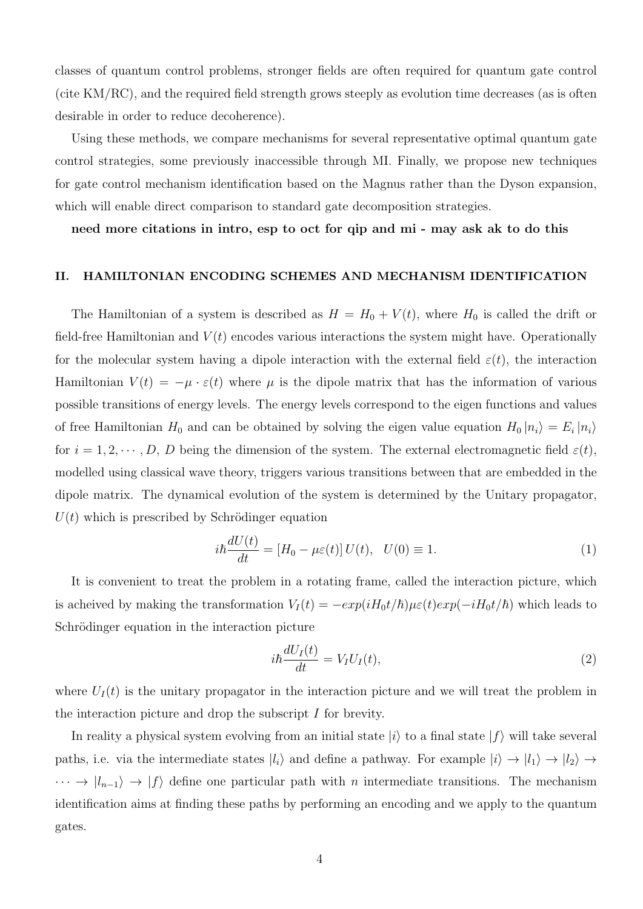classes of quantum control problems, stronger fields are often required for quantum gate control (cite KM/RC), and the required field strength grows steeply as evolution time decreases (as is often desirable in order to reduce decoherence).

Using these methods, we compare mechanisms for several representative optimal quantum gate control strategies, some previously inaccessible through MI. Finally, we propose new techniques for gate control mechanism identification based on the Magnus rather than the Dyson expansion, which will enable direct comparison to standard gate decomposition strategies.

**need more citations in intro, esp to oct for qip and mi - may ask ak to do this**

#### **II. HAMILTONIAN ENCODING SCHEMES AND MECHANISM IDENTIFICATION**

The Hamiltonian of a system is described as  $H = H_0 + V(t)$ , where  $H_0$  is called the drift or field-free Hamiltonian and  $V(t)$  encodes various interactions the system might have. Operationally for the molecular system having a dipole interaction with the external field  $\varepsilon(t)$ , the interaction Hamiltonian  $V(t) = -\mu \cdot \varepsilon(t)$  where  $\mu$  is the dipole matrix that has the information of various possible transitions of energy levels. The energy levels correspond to the eigen functions and values of free Hamiltonian  $H_0$  and can be obtained by solving the eigen value equation  $H_0 |n_i\rangle = E_i |n_i\rangle$ for  $i = 1, 2, \dots, D$ , *D* being the dimension of the system. The external electromagnetic field  $\varepsilon(t)$ , modelled using classical wave theory, triggers various transitions between that are embedded in the dipole matrix. The dynamical evolution of the system is determined by the Unitary propagator,  $U(t)$  which is prescribed by Schrödinger equation

$$
i\hbar \frac{dU(t)}{dt} = [H_0 - \mu \varepsilon(t)] U(t), \quad U(0) \equiv 1.
$$
 (1)

It is convenient to treat the problem in a rotating frame, called the interaction picture, which is acheived by making the transformation  $V_I(t) = -exp(iH_0t/\hbar)\mu\varepsilon(t)exp(-iH_0t/\hbar)$  which leads to Schrödinger equation in the interaction picture

$$
i\hbar \frac{dU_I(t)}{dt} = V_I U_I(t),\tag{2}
$$

where  $U_I(t)$  is the unitary propagator in the interaction picture and we will treat the problem in the interaction picture and drop the subscript *I* for brevity.

In reality a physical system evolving from an initial state  $|i\rangle$  to a final state  $|f\rangle$  will take several paths, i.e. via the intermediate states  $|l_i\rangle$  and define a pathway. For example  $|i\rangle \rightarrow |l_1\rangle \rightarrow |l_2\rangle \rightarrow$  $\cdots \rightarrow |l_{n-1}\rangle \rightarrow |f\rangle$  define one particular path with *n* intermediate transitions. The mechanism identification aims at finding these paths by performing an encoding and we apply to the quantum gates.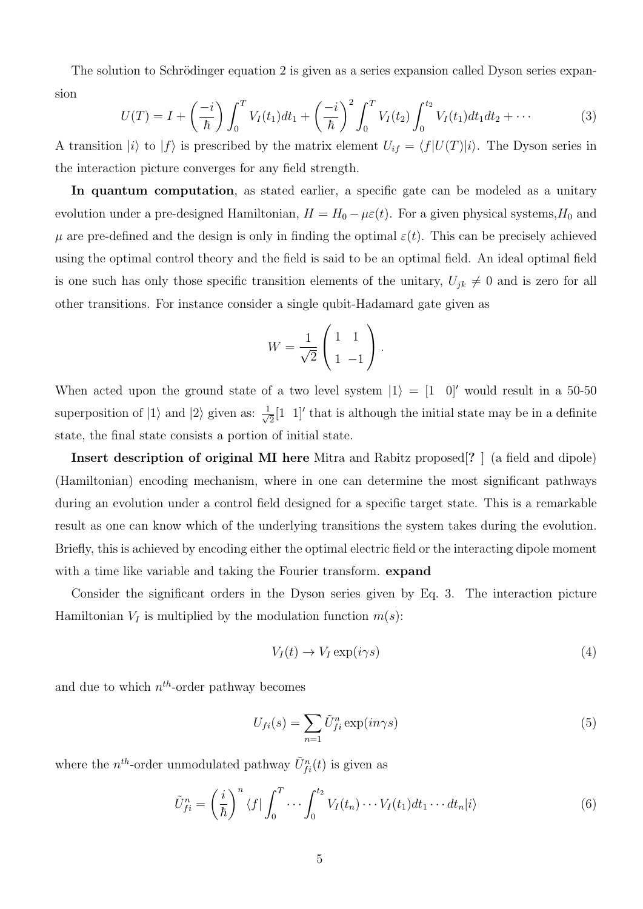The solution to Schrödinger equation 2 is given as a series expansion called Dyson series expansion

$$
U(T) = I + \left(\frac{-i}{\hbar}\right) \int_0^T V_I(t_1) dt_1 + \left(\frac{-i}{\hbar}\right)^2 \int_0^T V_I(t_2) \int_0^{t_2} V_I(t_1) dt_1 dt_2 + \cdots
$$
 (3)

A transition  $|i\rangle$  to  $|f\rangle$  is prescribed by the matrix element  $U_{if} = \langle f|U(T)|i\rangle$ . The Dyson series in the interaction picture converges for any field strength.

In quantum computation, as stated earlier, a specific gate can be modeled as a unitary evolution under a pre-designed Hamiltonian,  $H = H_0 - \mu \varepsilon(t)$ . For a given physical systems,  $H_0$  and  $\mu$  are pre-defined and the design is only in finding the optimal  $\varepsilon(t)$ . This can be precisely achieved using the optimal control theory and the field is said to be an optimal field. An ideal optimal field is one such has only those specific transition elements of the unitary,  $U_{jk} \neq 0$  and is zero for all other transitions. For instance consider a single qubit-Hadamard gate given as

$$
W = \frac{1}{\sqrt{2}} \begin{pmatrix} 1 & 1 \\ 1 & -1 \end{pmatrix}.
$$

When acted upon the ground state of a two level system  $|1\rangle = |1\ 0|'$  would result in a 50-50 superposition of  $|1\rangle$  and  $|2\rangle$  given as:  $\frac{1}{\sqrt{2}}$  $\frac{1}{2}[1 \ 1]'$  that is although the initial state may be in a definite state, the final state consists a portion of initial state.

**Insert description of original MI here** Mitra and Rabitz proposed[**?** ] (a field and dipole) (Hamiltonian) encoding mechanism, where in one can determine the most significant pathways during an evolution under a control field designed for a specific target state. This is a remarkable result as one can know which of the underlying transitions the system takes during the evolution. Briefly, this is achieved by encoding either the optimal electric field or the interacting dipole moment with a time like variable and taking the Fourier transform. **expand**

Consider the significant orders in the Dyson series given by Eq. 3. The interaction picture Hamiltonian  $V_I$  is multiplied by the modulation function  $m(s)$ :

$$
V_I(t) \to V_I \exp(i\gamma s) \tag{4}
$$

and due to which *n th*-order pathway becomes

$$
U_{fi}(s) = \sum_{n=1} \tilde{U}_{fi}^{n} \exp(in\gamma s)
$$
 (5)

where the  $n^{th}$ -order unmodulated pathway  $\tilde{U}_{fi}^{n}(t)$  is given as

$$
\tilde{U}_{fi}^{n} = \left(\frac{i}{\hbar}\right)^{n} \langle f | \int_{0}^{T} \cdots \int_{0}^{t_{2}} V_{I}(t_{n}) \cdots V_{I}(t_{1}) dt_{1} \cdots dt_{n} | i \rangle \tag{6}
$$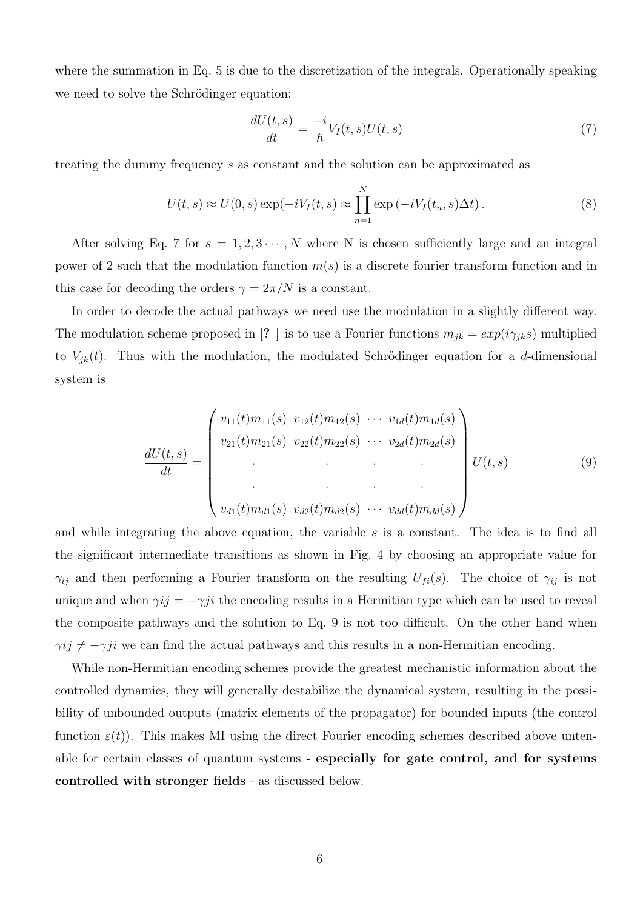where the summation in Eq. 5 is due to the discretization of the integrals. Operationally speaking we need to solve the Schrödinger equation:

$$
\frac{dU(t,s)}{dt} = -\frac{i}{\hbar}V_I(t,s)U(t,s)
$$
\n(7)

treating the dummy frequency *s* as constant and the solution can be approximated as

$$
U(t,s) \approx U(0,s) \exp(-iV_I(t,s) \approx \prod_{n=1}^{N} \exp(-iV_I(t_n,s)\Delta t).
$$
 (8)

After solving Eq. 7 for  $s = 1, 2, 3 \cdots, N$  where N is chosen sufficiently large and an integral power of 2 such that the modulation function *m*(*s*) is a discrete fourier transform function and in this case for decoding the orders  $\gamma = 2\pi/N$  is a constant.

In order to decode the actual pathways we need use the modulation in a slightly different way. The modulation scheme proposed in [? ] is to use a Fourier functions  $m_{jk} = exp(i\gamma_{jk}s)$  multiplied to  $V_{jk}(t)$ . Thus with the modulation, the modulated Schrödinger equation for a *d*-dimensional system is

$$
\frac{dU(t,s)}{dt} = \begin{pmatrix} v_{11}(t)m_{11}(s) & v_{12}(t)m_{12}(s) & \cdots & v_{1d}(t)m_{1d}(s) \\ v_{21}(t)m_{21}(s) & v_{22}(t)m_{22}(s) & \cdots & v_{2d}(t)m_{2d}(s) \\ \vdots & \vdots & \ddots & \vdots \\ v_{d1}(t)m_{d1}(s) & v_{d2}(t)m_{d2}(s) & \cdots & v_{dd}(t)m_{dd}(s) \end{pmatrix} U(t,s) \qquad (9)
$$

and while integrating the above equation, the variable *s* is a constant. The idea is to find all the significant intermediate transitions as shown in Fig. 4 by choosing an appropriate value for *γij* and then performing a Fourier transform on the resulting  $U_{fi}(s)$ . The choice of  $\gamma_{ij}$  is not unique and when  $\gamma ij = -\gamma ji$  the encoding results in a Hermitian type which can be used to reveal the composite pathways and the solution to Eq. 9 is not too difficult. On the other hand when  $\gamma ij \neq -\gamma ji$  we can find the actual pathways and this results in a non-Hermitian encoding.

While non-Hermitian encoding schemes provide the greatest mechanistic information about the controlled dynamics, they will generally destabilize the dynamical system, resulting in the possibility of unbounded outputs (matrix elements of the propagator) for bounded inputs (the control function  $\varepsilon(t)$ ). This makes MI using the direct Fourier encoding schemes described above untenable for certain classes of quantum systems - **especially for gate control, and for systems controlled with stronger fields** - as discussed below.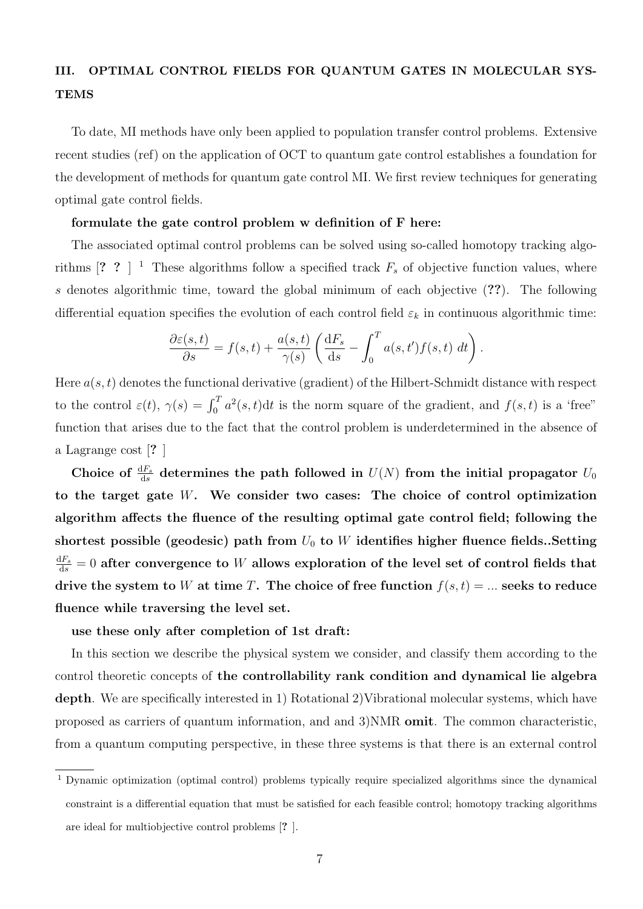### **III. OPTIMAL CONTROL FIELDS FOR QUANTUM GATES IN MOLECULAR SYS-TEMS**

To date, MI methods have only been applied to population transfer control problems. Extensive recent studies (ref) on the application of OCT to quantum gate control establishes a foundation for the development of methods for quantum gate control MI. We first review techniques for generating optimal gate control fields.

### **formulate the gate control problem w definition of F here:**

The associated optimal control problems can be solved using so-called homotopy tracking algorithms  $[? \ 3]$ <sup>1</sup> These algorithms follow a specified track  $F_s$  of objective function values, where *s* denotes algorithmic time, toward the global minimum of each objective (**??**). The following differential equation specifies the evolution of each control field  $\varepsilon_k$  in continuous algorithmic time:

$$
\frac{\partial \varepsilon(s,t)}{\partial s} = f(s,t) + \frac{a(s,t)}{\gamma(s)} \left( \frac{\mathrm{d}F_s}{\mathrm{d}s} - \int_0^T a(s,t') f(s,t) \ dt \right).
$$

Here *a*(*s, t*) denotes the functional derivative (gradient) of the Hilbert-Schmidt distance with respect to the control  $\varepsilon(t)$ ,  $\gamma(s) = \int_0^T a^2(s,t)dt$  is the norm square of the gradient, and  $f(s,t)$  is a 'free" function that arises due to the fact that the control problem is underdetermined in the absence of a Lagrange cost [**?** ]

Choice of  $\frac{dF_s}{ds}$  determines the path followed in  $U(N)$  from the initial propagator  $U_0$ **to the target gate** *W***. We consider two cases: The choice of control optimization algorithm affects the fluence of the resulting optimal gate control field; following the shortest possible (geodesic) path from** *U*<sup>0</sup> **to** *W* **identifies higher fluence fields..Setting**  $\frac{dF_s}{ds} = 0$  after convergence to  $W$  allows exploration of the level set of control fields that drive the system to *W* at time *T*. The choice of free function  $f(s,t) = ...$  seeks to reduce **fluence while traversing the level set.**

### **use these only after completion of 1st draft:**

In this section we describe the physical system we consider, and classify them according to the control theoretic concepts of **the controllability rank condition and dynamical lie algebra depth**. We are specifically interested in 1) Rotational 2)Vibrational molecular systems, which have proposed as carriers of quantum information, and and 3)NMR **omit**. The common characteristic, from a quantum computing perspective, in these three systems is that there is an external control

<sup>1</sup> Dynamic optimization (optimal control) problems typically require specialized algorithms since the dynamical constraint is a differential equation that must be satisfied for each feasible control; homotopy tracking algorithms are ideal for multiobjective control problems [**?** ].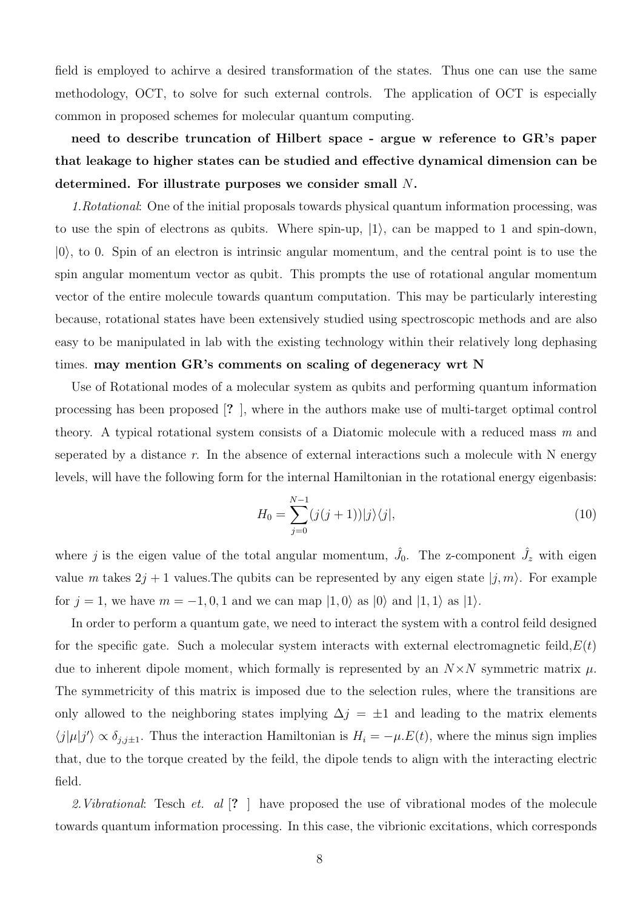field is employed to achirve a desired transformation of the states. Thus one can use the same methodology, OCT, to solve for such external controls. The application of OCT is especially common in proposed schemes for molecular quantum computing.

**need to describe truncation of Hilbert space - argue w reference to GR's paper that leakage to higher states can be studied and effective dynamical dimension can be determined. For illustrate purposes we consider small** *N***.**

*1.Rotational*: One of the initial proposals towards physical quantum information processing, was to use the spin of electrons as qubits. Where spin-up, *|*1*⟩*, can be mapped to 1 and spin-down, *|*0*⟩*, to 0. Spin of an electron is intrinsic angular momentum, and the central point is to use the spin angular momentum vector as qubit. This prompts the use of rotational angular momentum vector of the entire molecule towards quantum computation. This may be particularly interesting because, rotational states have been extensively studied using spectroscopic methods and are also easy to be manipulated in lab with the existing technology within their relatively long dephasing times. **may mention GR's comments on scaling of degeneracy wrt N**

Use of Rotational modes of a molecular system as qubits and performing quantum information processing has been proposed [**?** ], where in the authors make use of multi-target optimal control theory. A typical rotational system consists of a Diatomic molecule with a reduced mass *m* and seperated by a distance *r*. In the absence of external interactions such a molecule with N energy levels, will have the following form for the internal Hamiltonian in the rotational energy eigenbasis:

$$
H_0 = \sum_{j=0}^{N-1} (j(j+1)) |j\rangle\langle j|,
$$
\n(10)

where *j* is the eigen value of the total angular momentum,  $\hat{J}_0$ . The z-component  $\hat{J}_z$  with eigen value *m* takes  $2j + 1$  values. The qubits can be represented by any eigen state  $|j, m\rangle$ . For example for  $j = 1$ , we have  $m = -1, 0, 1$  and we can map  $|1, 0\rangle$  as  $|0\rangle$  and  $|1, 1\rangle$  as  $|1\rangle$ .

In order to perform a quantum gate, we need to interact the system with a control feild designed for the specific gate. Such a molecular system interacts with external electromagnetic feild,*E*(*t*) due to inherent dipole moment, which formally is represented by an  $N \times N$  symmetric matrix  $\mu$ . The symmetricity of this matrix is imposed due to the selection rules, where the transitions are only allowed to the neighboring states implying  $\Delta j = \pm 1$  and leading to the matrix elements  $\langle j | \mu | j' \rangle \propto \delta_{j,j\pm 1}$ . Thus the interaction Hamiltonian is  $H_i = -\mu.E(t)$ , where the minus sign implies that, due to the torque created by the feild, the dipole tends to align with the interacting electric field.

*2.Vibrational*: Tesch *et. al* [**?** ] have proposed the use of vibrational modes of the molecule towards quantum information processing. In this case, the vibrionic excitations, which corresponds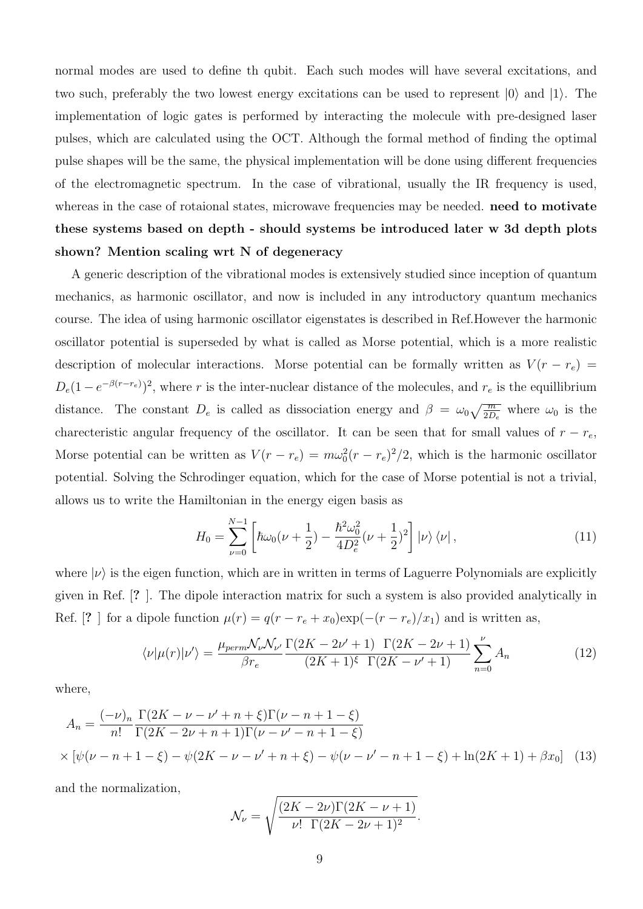normal modes are used to define th qubit. Each such modes will have several excitations, and two such, preferably the two lowest energy excitations can be used to represent *|*0*⟩* and *|*1*⟩*. The implementation of logic gates is performed by interacting the molecule with pre-designed laser pulses, which are calculated using the OCT. Although the formal method of finding the optimal pulse shapes will be the same, the physical implementation will be done using different frequencies of the electromagnetic spectrum. In the case of vibrational, usually the IR frequency is used, whereas in the case of rotaional states, microwave frequencies may be needed. **need to motivate these systems based on depth - should systems be introduced later w 3d depth plots shown? Mention scaling wrt N of degeneracy**

A generic description of the vibrational modes is extensively studied since inception of quantum mechanics, as harmonic oscillator, and now is included in any introductory quantum mechanics course. The idea of using harmonic oscillator eigenstates is described in Ref.However the harmonic oscillator potential is superseded by what is called as Morse potential, which is a more realistic description of molecular interactions. Morse potential can be formally written as  $V(r - r_e)$  $D_e(1 - e^{-\beta(r - r_e)})^2$ , where *r* is the inter-nuclear distance of the molecules, and  $r_e$  is the equillibrium distance. The constant  $D_e$  is called as dissociation energy and  $\beta = \omega_0 \sqrt{\frac{m}{2D_e}}$  where  $\omega_0$  is the charecteristic angular frequency of the oscillator. It can be seen that for small values of  $r - r_e$ , Morse potential can be written as  $V(r - r_e) = m\omega_0^2 (r - r_e)^2/2$ , which is the harmonic oscillator potential. Solving the Schrodinger equation, which for the case of Morse potential is not a trivial, allows us to write the Hamiltonian in the energy eigen basis as

$$
H_0 = \sum_{\nu=0}^{N-1} \left[ \hbar \omega_0 (\nu + \frac{1}{2}) - \frac{\hbar^2 \omega_0^2}{4D_e^2} (\nu + \frac{1}{2})^2 \right] |\nu\rangle \langle \nu| \,, \tag{11}
$$

where  $|\nu\rangle$  is the eigen function, which are in written in terms of Laguerre Polynomials are explicitly given in Ref. [**?** ]. The dipole interaction matrix for such a system is also provided analytically in Ref. [? ] for a dipole function  $\mu(r) = q(r - r_e + x_0) \exp(-(r - r_e)/x_1)$  and is written as,

$$
\langle \nu | \mu(r) | \nu' \rangle = \frac{\mu_{perm} \mathcal{N}_{\nu} \mathcal{N}_{\nu'}}{\beta r_e} \frac{\Gamma(2K - 2\nu' + 1) \Gamma(2K - 2\nu + 1)}{(2K + 1)^{\xi} \Gamma(2K - \nu' + 1)} \sum_{n=0}^{\nu} A_n \tag{12}
$$

where,

$$
A_n = \frac{(-\nu)_n}{n!} \frac{\Gamma(2K - \nu - \nu' + n + \xi)\Gamma(\nu - n + 1 - \xi)}{\Gamma(2K - 2\nu + n + 1)\Gamma(\nu - \nu' - n + 1 - \xi)}
$$
  
 
$$
\times [\psi(\nu - n + 1 - \xi) - \psi(2K - \nu - \nu' + n + \xi) - \psi(\nu - \nu' - n + 1 - \xi) + \ln(2K + 1) + \beta x_0]
$$
(13)

and the normalization,

$$
\mathcal{N}_{\nu} = \sqrt{\frac{(2K - 2\nu)\Gamma(2K - \nu + 1)}{\nu! \Gamma(2K - 2\nu + 1)^2}}.
$$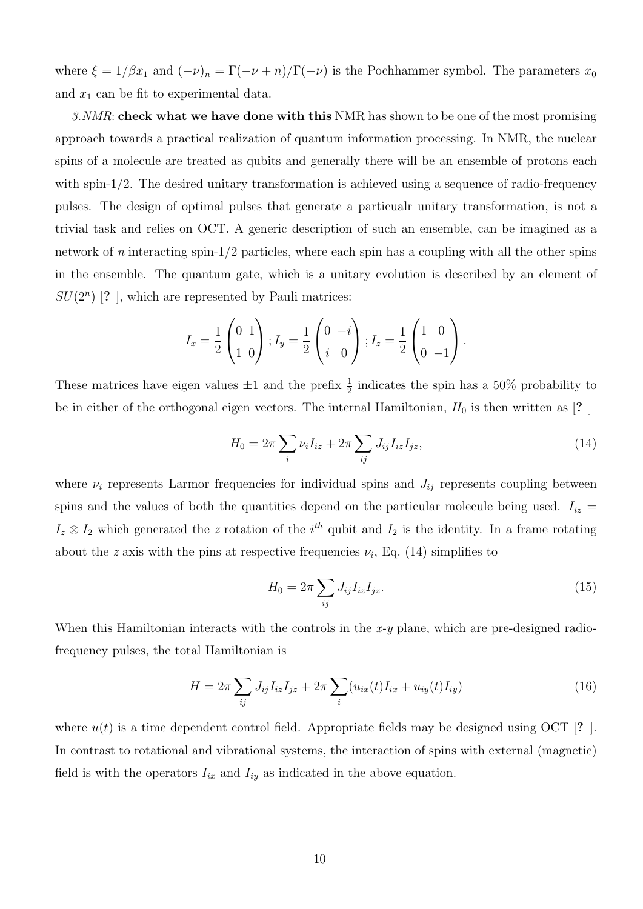where  $\xi = 1/\beta x_1$  and  $(-\nu)_n = \Gamma(-\nu + n)/\Gamma(-\nu)$  is the Pochhammer symbol. The parameters  $x_0$ and  $x_1$  can be fit to experimental data.

*3.NMR*: **check what we have done with this** NMR has shown to be one of the most promising approach towards a practical realization of quantum information processing. In NMR, the nuclear spins of a molecule are treated as qubits and generally there will be an ensemble of protons each with spin-1/2. The desired unitary transformation is achieved using a sequence of radio-frequency pulses. The design of optimal pulses that generate a particualr unitary transformation, is not a trivial task and relies on OCT. A generic description of such an ensemble, can be imagined as a network of *n* interacting spin-1/2 particles, where each spin has a coupling with all the other spins in the ensemble. The quantum gate, which is a unitary evolution is described by an element of  $SU(2^n)$  [? ], which are represented by Pauli matrices:

$$
I_x = \frac{1}{2} \begin{pmatrix} 0 & 1 \\ 1 & 0 \end{pmatrix}; I_y = \frac{1}{2} \begin{pmatrix} 0 & -i \\ i & 0 \end{pmatrix}; I_z = \frac{1}{2} \begin{pmatrix} 1 & 0 \\ 0 & -1 \end{pmatrix}.
$$

These matrices have eigen values  $\pm 1$  and the prefix  $\frac{1}{2}$  indicates the spin has a 50% probability to be in either of the orthogonal eigen vectors. The internal Hamiltonian,  $H_0$  is then written as [? ]

$$
H_0 = 2\pi \sum_i \nu_i I_{iz} + 2\pi \sum_{ij} J_{ij} I_{iz} I_{jz},
$$
\n(14)

where  $\nu_i$  represents Larmor frequencies for individual spins and  $J_{ij}$  represents coupling between spins and the values of both the quantities depend on the particular molecule being used.  $I_{iz}$  =  $I_z \otimes I_2$  which generated the *z* rotation of the *i*<sup>th</sup> qubit and  $I_2$  is the identity. In a frame rotating about the *z* axis with the pins at respective frequencies  $\nu_i$ , Eq. (14) simplifies to

$$
H_0 = 2\pi \sum_{ij} J_{ij} I_{iz} I_{jz}.
$$
\n(15)

When this Hamiltonian interacts with the controls in the *x-y* plane, which are pre-designed radiofrequency pulses, the total Hamiltonian is

$$
H = 2\pi \sum_{ij} J_{ij} I_{iz} I_{jz} + 2\pi \sum_{i} (u_{ix}(t) I_{ix} + u_{iy}(t) I_{iy})
$$
\n(16)

where  $u(t)$  is a time dependent control field. Appropriate fields may be designed using OCT [**?** ]. In contrast to rotational and vibrational systems, the interaction of spins with external (magnetic) field is with the operators  $I_{ix}$  and  $I_{iy}$  as indicated in the above equation.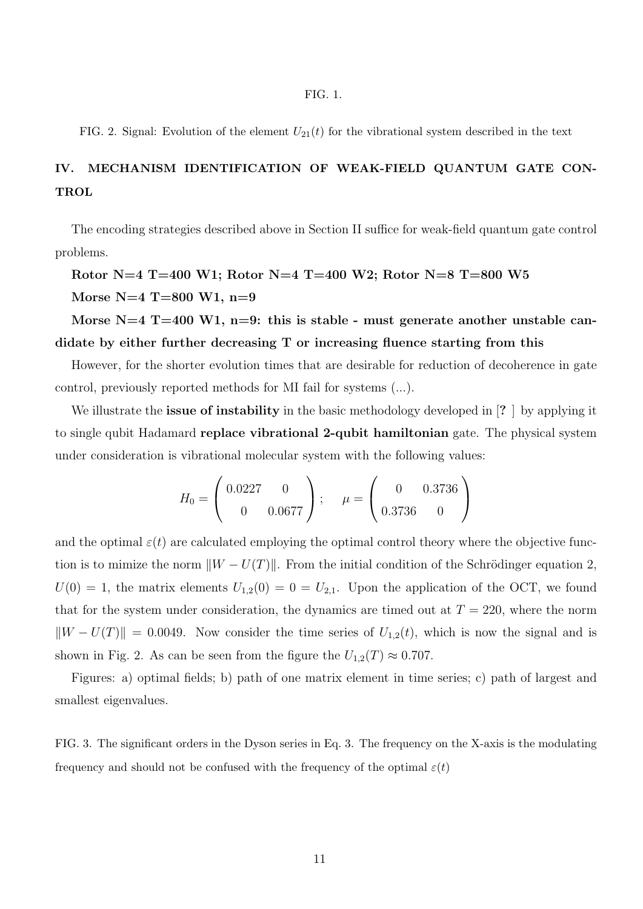FIG. 2. Signal: Evolution of the element  $U_{21}(t)$  for the vibrational system described in the text

# **IV. MECHANISM IDENTIFICATION OF WEAK-FIELD QUANTUM GATE CON-TROL**

The encoding strategies described above in Section II suffice for weak-field quantum gate control problems.

# **Rotor N=4 T=400 W1; Rotor N=4 T=400 W2; Rotor N=8 T=800 W5**

**Morse N=4 T=800 W1, n=9**

**Morse N=4 T=400 W1, n=9: this is stable - must generate another unstable candidate by either further decreasing T or increasing fluence starting from this**

However, for the shorter evolution times that are desirable for reduction of decoherence in gate control, previously reported methods for MI fail for systems (...).

We illustrate the **issue of instability** in the basic methodology developed in [**?** ] by applying it to single qubit Hadamard **replace vibrational 2-qubit hamiltonian** gate. The physical system under consideration is vibrational molecular system with the following values:

$$
H_0 = \begin{pmatrix} 0.0227 & 0 \\ 0 & 0.0677 \end{pmatrix}; \quad \mu = \begin{pmatrix} 0 & 0.3736 \\ 0.3736 & 0 \end{pmatrix}
$$

and the optimal  $\varepsilon(t)$  are calculated employing the optimal control theory where the objective function is to mimize the norm  $||W - U(T)||$ . From the initial condition of the Schrödinger equation 2,  $U(0) = 1$ , the matrix elements  $U_{1,2}(0) = 0 = U_{2,1}$ . Upon the application of the OCT, we found that for the system under consideration, the dynamics are timed out at  $T = 220$ , where the norm  $\|W - U(T)\| = 0.0049$ . Now consider the time series of  $U_{1,2}(t)$ , which is now the signal and is shown in Fig. 2. As can be seen from the figure the  $U_{1,2}(T) \approx 0.707$ .

Figures: a) optimal fields; b) path of one matrix element in time series; c) path of largest and smallest eigenvalues.

FIG. 3. The significant orders in the Dyson series in Eq. 3. The frequency on the X-axis is the modulating frequency and should not be confused with the frequency of the optimal  $\varepsilon(t)$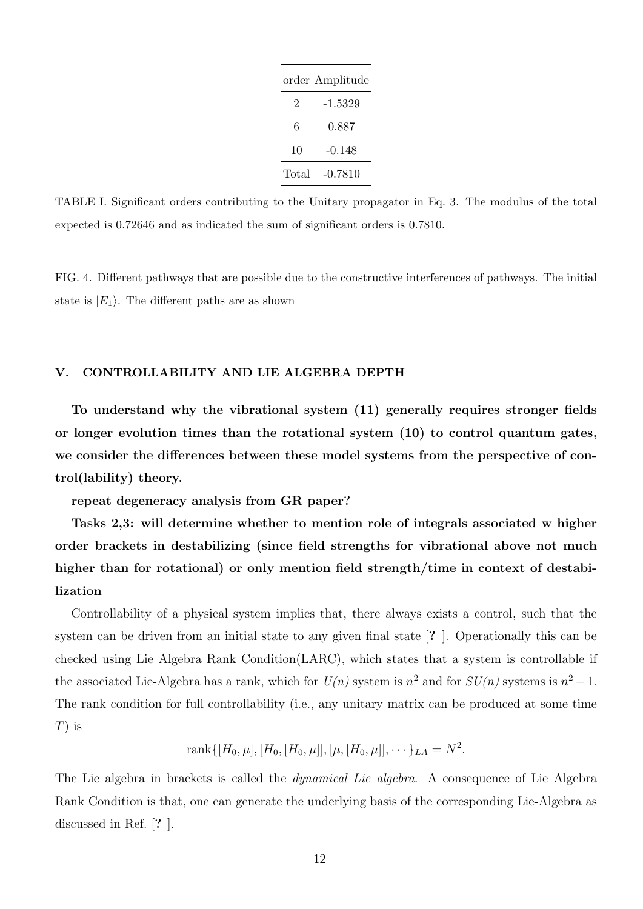|       | order Amplitude |
|-------|-----------------|
| 2     | -1.5329         |
| 6     | 0.887           |
| 10    | -0.148          |
| Total | $-0.7810$       |

TABLE I. Significant orders contributing to the Unitary propagator in Eq. 3. The modulus of the total expected is 0.72646 and as indicated the sum of significant orders is 0.7810.

FIG. 4. Different pathways that are possible due to the constructive interferences of pathways. The initial state is  $|E_1\rangle$ . The different paths are as shown

#### **V. CONTROLLABILITY AND LIE ALGEBRA DEPTH**

**To understand why the vibrational system (11) generally requires stronger fields or longer evolution times than the rotational system (10) to control quantum gates, we consider the differences between these model systems from the perspective of control(lability) theory.**

**repeat degeneracy analysis from GR paper?**

**Tasks 2,3: will determine whether to mention role of integrals associated w higher order brackets in destabilizing (since field strengths for vibrational above not much higher than for rotational) or only mention field strength/time in context of destabilization**

Controllability of a physical system implies that, there always exists a control, such that the system can be driven from an initial state to any given final state [**?** ]. Operationally this can be checked using Lie Algebra Rank Condition(LARC), which states that a system is controllable if the associated Lie-Algebra has a rank, which for  $U(n)$  system is  $n^2$  and for  $SU(n)$  systems is  $n^2 - 1$ . The rank condition for full controllability (i.e., any unitary matrix can be produced at some time *T*) is

$$
rank\{[H_0,\mu],[H_0,[H_0,\mu]], [\mu,[H_0,\mu]],\cdots\}_{LA}=N^2.
$$

The Lie algebra in brackets is called the *dynamical Lie algebra*. A consequence of Lie Algebra Rank Condition is that, one can generate the underlying basis of the corresponding Lie-Algebra as discussed in Ref. [**?** ].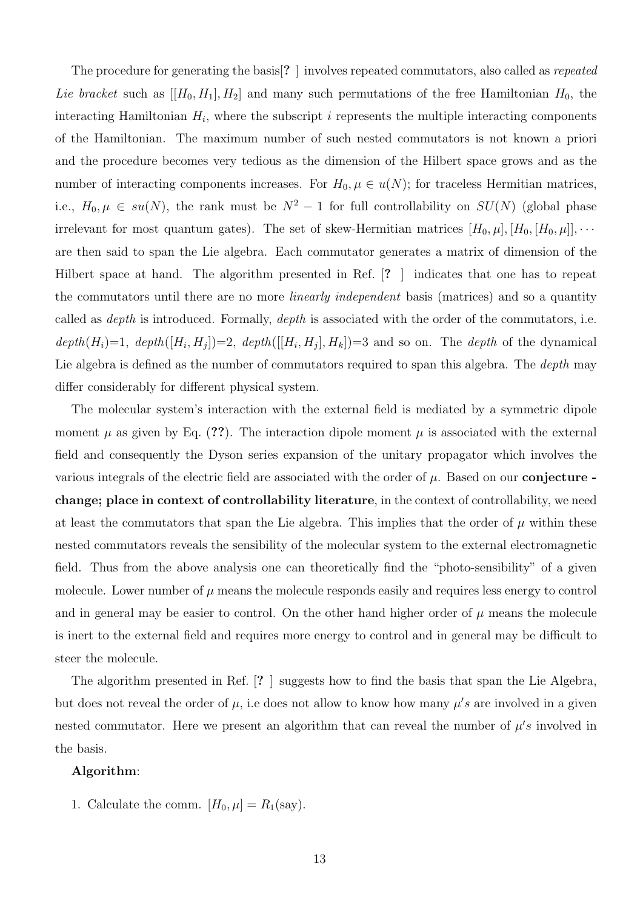The procedure for generating the basis[**?** ] involves repeated commutators, also called as *repeated Lie bracket* such as  $[[H_0, H_1], H_2]$  and many such permutations of the free Hamiltonian  $H_0$ , the interacting Hamiltonian *H<sup>i</sup>* , where the subscript *i* represents the multiple interacting components of the Hamiltonian. The maximum number of such nested commutators is not known a priori and the procedure becomes very tedious as the dimension of the Hilbert space grows and as the number of interacting components increases. For  $H_0, \mu \in u(N)$ ; for traceless Hermitian matrices, i.e.,  $H_0, \mu \in su(N)$ , the rank must be  $N^2 - 1$  for full controllability on  $SU(N)$  (global phase irrelevant for most quantum gates). The set of skew-Hermitian matrices  $[H_0, \mu], [H_0, [H_0, \mu]], \cdots$ are then said to span the Lie algebra. Each commutator generates a matrix of dimension of the Hilbert space at hand. The algorithm presented in Ref. [**?** ] indicates that one has to repeat the commutators until there are no more *linearly independent* basis (matrices) and so a quantity called as *depth* is introduced. Formally, *depth* is associated with the order of the commutators, i.e.  $depth(H_i)=1, \text{ depth}([H_i, H_j])=2, \text{ depth}([H_i, H_j], H_k])=3 \text{ and so on. The depth of the dynamical.}$ Lie algebra is defined as the number of commutators required to span this algebra. The *depth* may differ considerably for different physical system.

The molecular system's interaction with the external field is mediated by a symmetric dipole moment  $\mu$  as given by Eq. (??). The interaction dipole moment  $\mu$  is associated with the external field and consequently the Dyson series expansion of the unitary propagator which involves the various integrals of the electric field are associated with the order of *µ*. Based on our **conjecture change; place in context of controllability literature**, in the context of controllability, we need at least the commutators that span the Lie algebra. This implies that the order of  $\mu$  within these nested commutators reveals the sensibility of the molecular system to the external electromagnetic field. Thus from the above analysis one can theoretically find the "photo-sensibility" of a given molecule. Lower number of  $\mu$  means the molecule responds easily and requires less energy to control and in general may be easier to control. On the other hand higher order of  $\mu$  means the molecule is inert to the external field and requires more energy to control and in general may be difficult to steer the molecule.

The algorithm presented in Ref. [**?** ] suggests how to find the basis that span the Lie Algebra, but does not reveal the order of  $\mu$ , i.e does not allow to know how many  $\mu's$  are involved in a given nested commutator. Here we present an algorithm that can reveal the number of  $\mu$ 's involved in the basis.

### **Algorithm**:

1. Calculate the comm.  $[H_0, \mu] = R_1(\text{say})$ .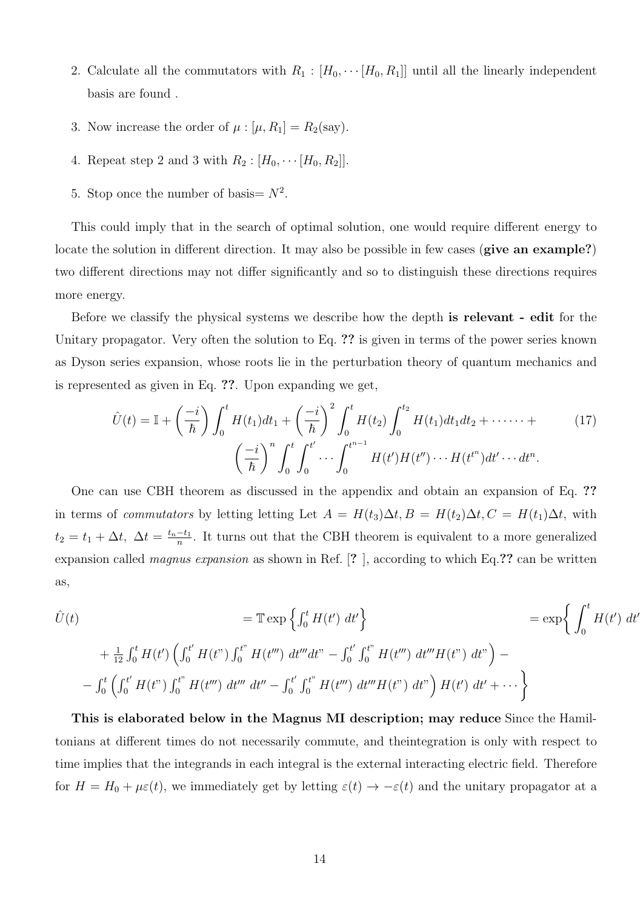- 2. Calculate all the commutators with  $R_1 : [H_0, \cdots [H_0, R_1]]$  until all the linearly independent basis are found .
- 3. Now increase the order of  $\mu : [\mu, R_1] = R_2(\text{say}).$
- 4. Repeat step 2 and 3 with  $R_2 : [H_0, \cdots [H_0, R_2]]$ .
- 5. Stop once the number of basis  $N^2$ .

This could imply that in the search of optimal solution, one would require different energy to locate the solution in different direction. It may also be possible in few cases (**give an example?**) two different directions may not differ significantly and so to distinguish these directions requires more energy.

Before we classify the physical systems we describe how the depth **is relevant - edit** for the Unitary propagator. Very often the solution to Eq. **??** is given in terms of the power series known as Dyson series expansion, whose roots lie in the perturbation theory of quantum mechanics and is represented as given in Eq. **??**. Upon expanding we get,

$$
\hat{U}(t) = \mathbb{I} + \left(\frac{-i}{\hbar}\right) \int_0^t H(t_1)dt_1 + \left(\frac{-i}{\hbar}\right)^2 \int_0^t H(t_2) \int_0^{t_2} H(t_1)dt_1dt_2 + \cdots + \left(\frac{-i}{\hbar}\right)^n \int_0^t \int_0^{t'} \cdots \int_0^{t^{n-1}} H(t')H(t'') \cdots H(t^{t^n})dt' \cdots dt^n.
$$
\n(17)

One can use CBH theorem as discussed in the appendix and obtain an expansion of Eq. **??** in terms of *commutators* by letting letting Let  $A = H(t_3)\Delta t$ ,  $B = H(t_2)\Delta t$ ,  $C = H(t_1)\Delta t$ , with  $t_2 = t_1 + \Delta t$ ,  $\Delta t = \frac{t_n - t_1}{n}$ . It turns out that the CBH theorem is equivalent to a more generalized expansion called *magnus expansion* as shown in Ref. [**?** ], according to which Eq.**??** can be written as,

*<sup>U</sup>*ˆ(*t*) <sup>=</sup> <sup>T</sup>exp {∫ *<sup>t</sup>* <sup>0</sup> *H*(*t ′* ) *dt′* } = exp{ <sup>∫</sup> *<sup>t</sup>* 0 *H*(*t ′* ) *dt′* + + 1 12 ∫ *t* <sup>0</sup> *H*(*t ′* ) (∫ *<sup>t</sup> ′* <sup>0</sup> *<sup>H</sup>*(*t*") <sup>∫</sup> *<sup>t</sup>*" <sup>0</sup> *H*(*t ′′′*) *dt′′′dt*" *−* ∫ *t ′* 0 ∫ *<sup>t</sup>*" <sup>0</sup> *H*(*t ′′′*) *dt′′′H*(*t*") *dt*" ) *− −* ∫ *t* 0 (∫ *<sup>t</sup> ′* <sup>0</sup> *<sup>H</sup>*(*t*") <sup>∫</sup> *<sup>t</sup>*" <sup>0</sup> *H*(*t ′′′*) *dt′′′ dt′′ −* ∫ *t ′* 0 ∫ *<sup>t</sup>*" <sup>0</sup> *H*(*t ′′′*) *dt′′′H*(*t*") *dt*" ) *H*(*t ′* ) *dt′* <sup>+</sup> *· · ·* }

**This is elaborated below in the Magnus MI description; may reduce** Since the Hamiltonians at different times do not necessarily commute, and theintegration is only with respect to time implies that the integrands in each integral is the external interacting electric field. Therefore for  $H = H_0 + \mu \varepsilon(t)$ , we immediately get by letting  $\varepsilon(t) \to -\varepsilon(t)$  and the unitary propagator at a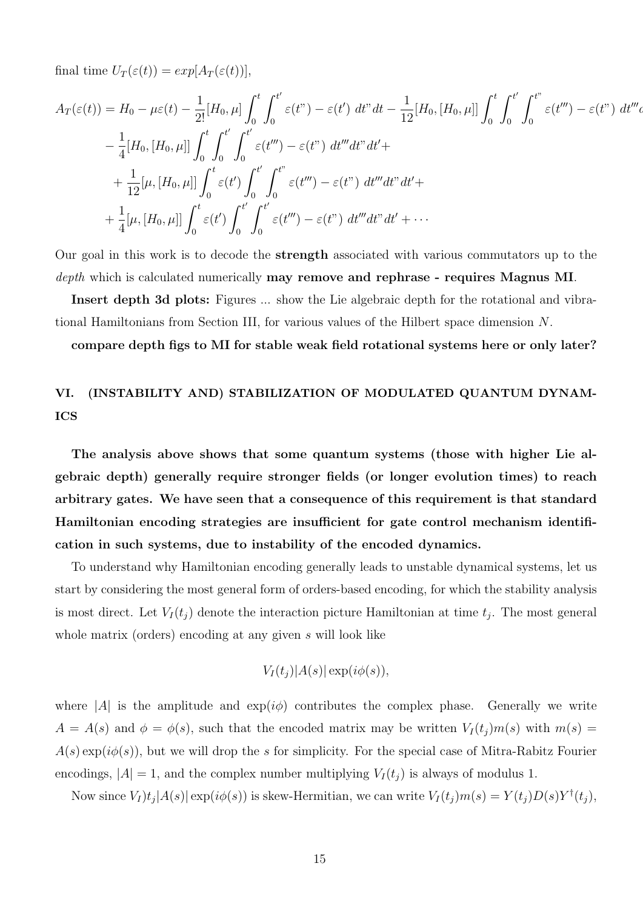final time  $U_T(\varepsilon(t)) = exp[A_T(\varepsilon(t))],$ 

*A<sup>T</sup>* (*ε*(*t*)) = *H*<sup>0</sup> *− µε*(*t*) *−* 1 2![*H*0*, µ*] ∫ *<sup>t</sup>* 0 ∫ *<sup>t</sup> ′* 0 *ε*(*t*") *− ε*(*t ′* ) *dt*"*dt −* 1 12 [*H*0*,* [*H*0*, µ*]] <sup>∫</sup> *<sup>t</sup>* 0 ∫ *<sup>t</sup> ′* 0 ∫ *<sup>t</sup>*" 0 *ε*(*t ′′′*) *− ε*(*t*") *dt′′′dt*"*dt′*+ *−* 1 4 [*H*0*,* [*H*0*, µ*]] <sup>∫</sup> *<sup>t</sup>* 0 ∫ *<sup>t</sup> ′* 0 ∫ *<sup>t</sup> ′* 0 *ε*(*t ′′′*) *− ε*(*t*") *dt′′′dt*"*dt′*+ + 1 12 [*µ,* [*H*0*, µ*]] <sup>∫</sup> *<sup>t</sup>* 0 *ε*(*t ′* ) ∫ *<sup>t</sup> ′* 0 ∫ *<sup>t</sup>*" 0 *ε*(*t ′′′*) *− ε*(*t*") *dt′′′dt*"*dt′*+ + 1 4 [*µ,* [*H*0*, µ*]] <sup>∫</sup> *<sup>t</sup>* 0 *ε*(*t ′* ) ∫ *<sup>t</sup> ′* 0 ∫ *<sup>t</sup> ′* 0 *ε*(*t ′′′*) *− ε*(*t*") *dt′′′dt*"*dt′* + *· · ·*

Our goal in this work is to decode the **strength** associated with various commutators up to the *depth* which is calculated numerically **may remove and rephrase - requires Magnus MI**.

**Insert depth 3d plots:** Figures ... show the Lie algebraic depth for the rotational and vibrational Hamiltonians from Section III, for various values of the Hilbert space dimension *N*.

**compare depth figs to MI for stable weak field rotational systems here or only later?**

### **VI. (INSTABILITY AND) STABILIZATION OF MODULATED QUANTUM DYNAM-ICS**

**The analysis above shows that some quantum systems (those with higher Lie algebraic depth) generally require stronger fields (or longer evolution times) to reach arbitrary gates. We have seen that a consequence of this requirement is that standard Hamiltonian encoding strategies are insufficient for gate control mechanism identification in such systems, due to instability of the encoded dynamics.**

To understand why Hamiltonian encoding generally leads to unstable dynamical systems, let us start by considering the most general form of orders-based encoding, for which the stability analysis is most direct. Let  $V_I(t_j)$  denote the interaction picture Hamiltonian at time  $t_j$ . The most general whole matrix (orders) encoding at any given *s* will look like

$$
V_I(t_j)|A(s)|\exp(i\phi(s)),
$$

where  $|A|$  is the amplitude and  $\exp(i\phi)$  contributes the complex phase. Generally we write  $A = A(s)$  and  $\phi = \phi(s)$ , such that the encoded matrix may be written  $V_I(t_j)m(s)$  with  $m(s) =$ *A*(*s*) exp(*iϕ*(*s*)), but we will drop the *s* for simplicity. For the special case of Mitra-Rabitz Fourier encodings,  $|A| = 1$ , and the complex number multiplying  $V_I(t_i)$  is always of modulus 1.

Now since  $V_I)t_j|A(s)|\exp(i\phi(s))$  is skew-Hermitian, we can write  $V_I(t_j)m(s) = Y(t_j)D(s)Y^{\dagger}(t_j)$ ,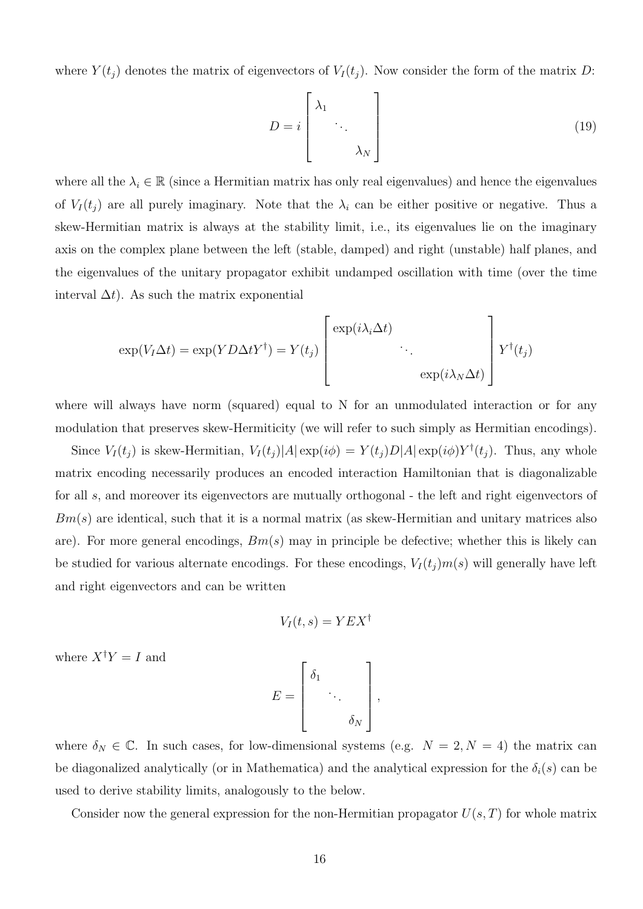where  $Y(t_j)$  denotes the matrix of eigenvectors of  $V_I(t_j)$ . Now consider the form of the matrix *D*:

$$
D = i \begin{bmatrix} \lambda_1 & & \\ & \ddots & \\ & & \lambda_N \end{bmatrix} \tag{19}
$$

where all the  $\lambda_i \in \mathbb{R}$  (since a Hermitian matrix has only real eigenvalues) and hence the eigenvalues of  $V_I(t_j)$  are all purely imaginary. Note that the  $\lambda_i$  can be either positive or negative. Thus a skew-Hermitian matrix is always at the stability limit, i.e., its eigenvalues lie on the imaginary axis on the complex plane between the left (stable, damped) and right (unstable) half planes, and the eigenvalues of the unitary propagator exhibit undamped oscillation with time (over the time interval  $\Delta t$ ). As such the matrix exponential

$$
\exp(V_I \Delta t) = \exp(Y D \Delta t Y^{\dagger}) = Y(t_j) \begin{bmatrix} \exp(i\lambda_i \Delta t) & & \\ & \ddots & \\ & & \exp(i\lambda_N \Delta t) \end{bmatrix} Y^{\dagger}(t_j)
$$

where will always have norm (squared) equal to N for an unmodulated interaction or for any modulation that preserves skew-Hermiticity (we will refer to such simply as Hermitian encodings).

Since  $V_I(t_j)$  is skew-Hermitian,  $V_I(t_j)|A| \exp(i\phi) = Y(t_j)D|A| \exp(i\phi)Y^{\dagger}(t_j)$ . Thus, any whole matrix encoding necessarily produces an encoded interaction Hamiltonian that is diagonalizable for all *s*, and moreover its eigenvectors are mutually orthogonal - the left and right eigenvectors of *Bm*(*s*) are identical, such that it is a normal matrix (as skew-Hermitian and unitary matrices also are). For more general encodings, *Bm*(*s*) may in principle be defective; whether this is likely can be studied for various alternate encodings. For these encodings,  $V_I(t_j)m(s)$  will generally have left and right eigenvectors and can be written

$$
V_I(t,s) = YEX^{\dagger}
$$

where  $X^{\dagger}Y = I$  and

$$
E = \begin{bmatrix} \delta_1 & & \\ & \ddots & \\ & & \delta_N \end{bmatrix},
$$

where  $\delta_N \in \mathbb{C}$ . In such cases, for low-dimensional systems (e.g.  $N = 2, N = 4$ ) the matrix can be diagonalized analytically (or in Mathematica) and the analytical expression for the  $\delta_i(s)$  can be used to derive stability limits, analogously to the below.

Consider now the general expression for the non-Hermitian propagator *U*(*s, T*) for whole matrix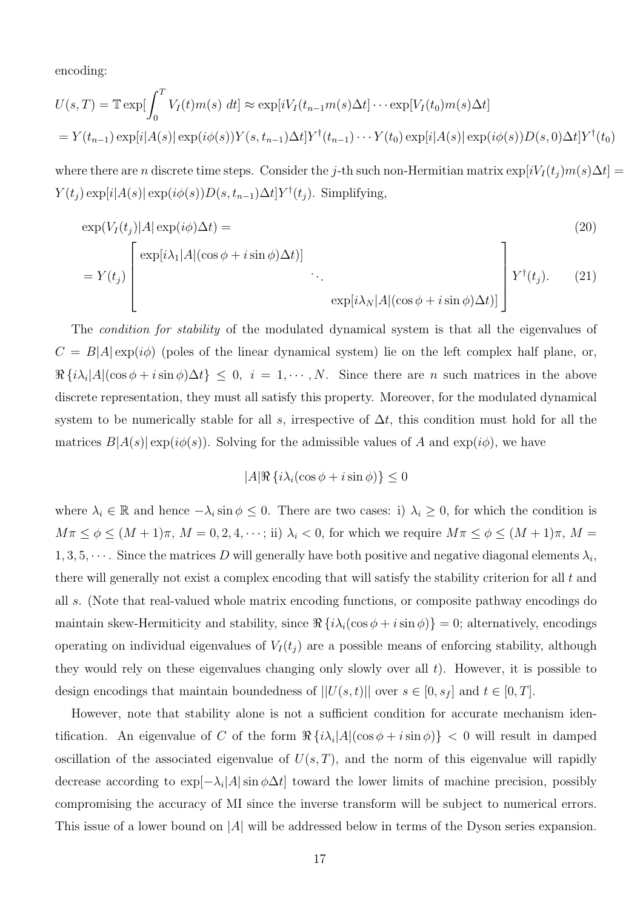encoding:

$$
U(s,T) = \mathbb{T} \exp[\int_0^T V_I(t)m(s) dt] \approx \exp[iV_I(t_{n-1}m(s)\Delta t] \cdots \exp[V_I(t_0)m(s)\Delta t]
$$
  
=  $Y(t_{n-1}) \exp[i|A(s)| \exp(i\phi(s))Y(s,t_{n-1})\Delta t]Y^{\dagger}(t_{n-1}) \cdots Y(t_0) \exp[i|A(s)| \exp(i\phi(s))D(s,0)\Delta t]Y^{\dagger}(t_0)$ 

where there are *n* discrete time steps. Consider the *j*-th such non-Hermitian matrix  $\exp[iV_I(t_j)m(s)\Delta t]$  =  $Y(t_j) \exp[i|A(s)| \exp(i\phi(s))D(s, t_{n-1})\Delta t]Y^{\dagger}(t_j)$ . Simplifying,

$$
\exp(V_I(t_j)|A|\exp(i\phi)\Delta t) =
$$
\n
$$
= Y(t_j) \left[ \exp[i\lambda_1|A|(\cos\phi + i\sin\phi)\Delta t] \right] \cdot \cdot \cdot
$$
\n
$$
\exp[i\lambda_N|A|(\cos\phi + i\sin\phi)\Delta t)] \left[ Y^{\dagger}(t_j). \quad (21)
$$

The *condition for stability* of the modulated dynamical system is that all the eigenvalues of  $C = B|A| \exp(i\phi)$  (poles of the linear dynamical system) lie on the left complex half plane, or,  $\Re\left\{i\lambda_i|A|(\cos\phi+i\sin\phi)\Delta t\right\}\leq 0, i=1,\cdots,N.$  Since there are *n* such matrices in the above discrete representation, they must all satisfy this property. Moreover, for the modulated dynamical system to be numerically stable for all *s*, irrespective of  $\Delta t$ , this condition must hold for all the matrices  $B|A(s)| \exp(i\phi(s))$ . Solving for the admissible values of *A* and  $\exp(i\phi)$ , we have

$$
|A|\Re\left\{i\lambda_i(\cos\phi + i\sin\phi)\right\} \le 0
$$

where  $\lambda_i \in \mathbb{R}$  and hence  $-\lambda_i \sin \phi \leq 0$ . There are two cases: i)  $\lambda_i \geq 0$ , for which the condition is  $M\pi \leq \phi \leq (M+1)\pi$ ,  $M = 0, 2, 4, \dots$ ; ii)  $\lambda_i < 0$ , for which we require  $M\pi \leq \phi \leq (M+1)\pi$ ,  $M =$  $1, 3, 5, \cdots$ . Since the matrices *D* will generally have both positive and negative diagonal elements  $\lambda_i$ , there will generally not exist a complex encoding that will satisfy the stability criterion for all *t* and all *s*. (Note that real-valued whole matrix encoding functions, or composite pathway encodings do maintain skew-Hermiticity and stability, since  $\Re\{i\lambda_i(\cos\phi + i\sin\phi)\}=0$ ; alternatively, encodings operating on individual eigenvalues of  $V_I(t_i)$  are a possible means of enforcing stability, although they would rely on these eigenvalues changing only slowly over all *t*). However, it is possible to design encodings that maintain boundedness of  $||U(s,t)||$  over  $s \in [0, s<sub>f</sub>]$  and  $t \in [0, T]$ .

However, note that stability alone is not a sufficient condition for accurate mechanism identification. An eigenvalue of *C* of the form  $\Re \{i\lambda_i |A|(\cos \phi + i \sin \phi)\}$  < 0 will result in damped oscillation of the associated eigenvalue of  $U(s,T)$ , and the norm of this eigenvalue will rapidly decrease according to exp[*−λ<sup>i</sup> |A|*sin *ϕ*∆*t*] toward the lower limits of machine precision, possibly compromising the accuracy of MI since the inverse transform will be subject to numerical errors. This issue of a lower bound on *|A|* will be addressed below in terms of the Dyson series expansion.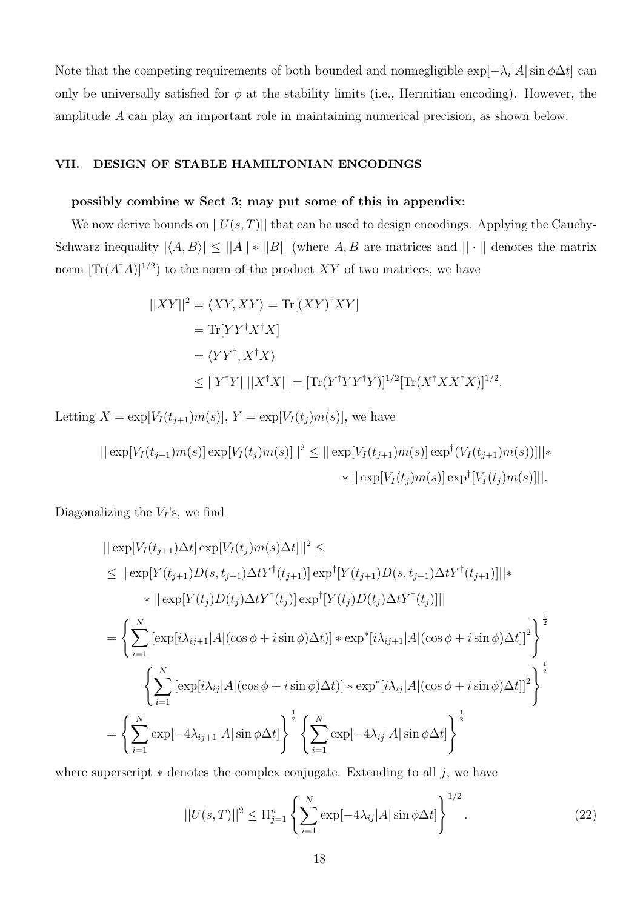Note that the competing requirements of both bounded and nonnegligible exp[*−λ<sup>i</sup> |A|*sin *ϕ*∆*t*] can only be universally satisfied for  $\phi$  at the stability limits (i.e., Hermitian encoding). However, the amplitude *A* can play an important role in maintaining numerical precision, as shown below.

### **VII. DESIGN OF STABLE HAMILTONIAN ENCODINGS**

#### **possibly combine w Sect 3; may put some of this in appendix:**

We now derive bounds on  $||U(s,T)||$  that can be used to design encodings. Applying the Cauchy-Schwarz inequality  $|\langle A, B \rangle| \leq ||A|| * ||B||$  (where *A, B* are matrices and  $|| \cdot ||$  denotes the matrix norm  $[\text{Tr}(A^{\dagger}A)]^{1/2}$  to the norm of the product XY of two matrices, we have

$$
||XY||^2 = \langle XY, XY \rangle = \text{Tr}[(XY)^{\dagger}XY]
$$
  
=  $\text{Tr}[YY^{\dagger}X^{\dagger}X]$   
=  $\langle YY^{\dagger}, X^{\dagger}X \rangle$   
 $\leq ||Y^{\dagger}Y|| ||X^{\dagger}X|| = [\text{Tr}(Y^{\dagger}YY^{\dagger}Y)]^{1/2} [\text{Tr}(X^{\dagger}XX^{\dagger}X)]^{1/2}.$ 

Letting  $X = \exp[V_I(t_{j+1})m(s)], Y = \exp[V_I(t_j)m(s)],$  we have

$$
|| \exp[V_I(t_{j+1})m(s)] \exp[V_I(t_j)m(s)]||^2 \le || \exp[V_I(t_{j+1})m(s)] \exp^{\dagger}(V_I(t_{j+1})m(s))]||*
$$
  
 
$$
* || \exp[V_I(t_j)m(s)] \exp^{\dagger}[V_I(t_j)m(s)]||.
$$

Diagonalizing the  $V_I$ 's, we find

$$
|| \exp[V_I(t_{j+1})\Delta t] \exp[V_I(t_j)m(s)\Delta t]||^2 \le
$$
  
\n
$$
\leq || \exp[Y(t_{j+1})D(s, t_{j+1})\Delta tY^{\dagger}(t_{j+1})] \exp^{\dagger}[Y(t_{j+1})D(s, t_{j+1})\Delta tY^{\dagger}(t_{j+1})]||*
$$
  
\n
$$
* || \exp[Y(t_j)D(t_j)\Delta tY^{\dagger}(t_j)] \exp^{\dagger}[Y(t_j)D(t_j)\Delta tY^{\dagger}(t_j)]||
$$
  
\n
$$
= \left\{ \sum_{i=1}^N [\exp[i\lambda_{ij+1}|A|(\cos\phi + i\sin\phi)\Delta t)] * \exp^{\dagger}[i\lambda_{ij+1}|A|(\cos\phi + i\sin\phi)\Delta t]]^2 \right\}^{\frac{1}{2}}
$$
  
\n
$$
\left\{ \sum_{i=1}^N [\exp[i\lambda_{ij}|A|(\cos\phi + i\sin\phi)\Delta t)] * \exp^{\dagger}[i\lambda_{ij}|A|(\cos\phi + i\sin\phi)\Delta t]]^2 \right\}^{\frac{1}{2}}
$$
  
\n
$$
= \left\{ \sum_{i=1}^N \exp[-4\lambda_{ij+1}|A|\sin\phi\Delta t] \right\}^{\frac{1}{2}} \left\{ \sum_{i=1}^N \exp[-4\lambda_{ij}|A|\sin\phi\Delta t] \right\}^{\frac{1}{2}}
$$

where superscript *∗* denotes the complex conjugate. Extending to all *j*, we have

$$
||U(s,T)||^2 \le \Pi_{j=1}^n \left\{ \sum_{i=1}^N \exp[-4\lambda_{ij}|A|\sin\phi\Delta t] \right\}^{1/2}.
$$
 (22)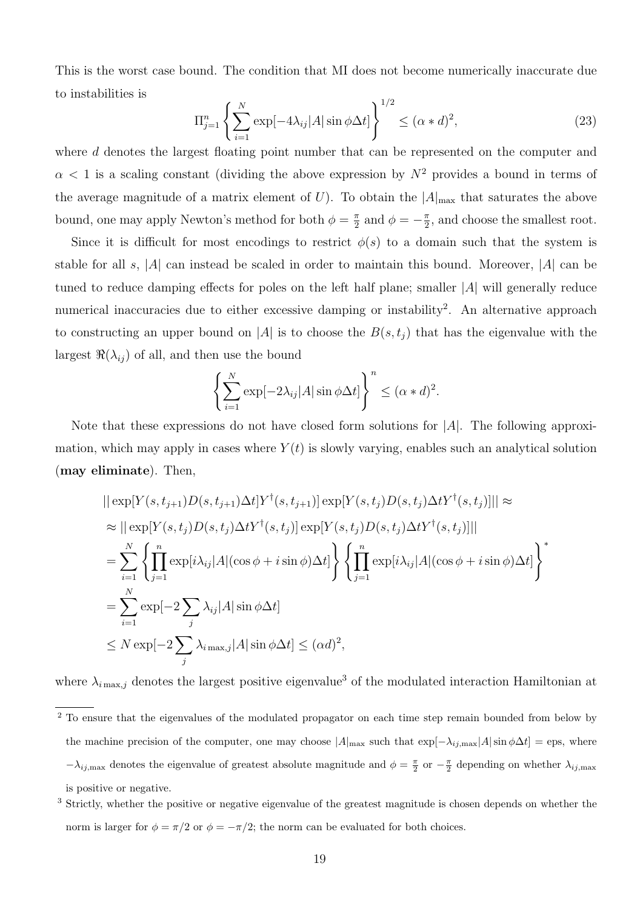This is the worst case bound. The condition that MI does not become numerically inaccurate due to instabilities is

$$
\Pi_{j=1}^{n} \left\{ \sum_{i=1}^{N} \exp[-4\lambda_{ij}|A| \sin \phi \Delta t] \right\}^{1/2} \le (\alpha * d)^{2},\tag{23}
$$

where *d* denotes the largest floating point number that can be represented on the computer and  $\alpha$  < 1 is a scaling constant (dividing the above expression by  $N^2$  provides a bound in terms of the average magnitude of a matrix element of *U*). To obtain the  $|A|_{\text{max}}$  that saturates the above bound, one may apply Newton's method for both  $\phi = \frac{\pi}{2}$  $\frac{\pi}{2}$  and  $\phi = -\frac{\pi}{2}$  $\frac{\pi}{2}$ , and choose the smallest root.

Since it is difficult for most encodings to restrict  $\phi(s)$  to a domain such that the system is stable for all *s*, *|A|* can instead be scaled in order to maintain this bound. Moreover, *|A|* can be tuned to reduce damping effects for poles on the left half plane; smaller *|A|* will generally reduce numerical inaccuracies due to either excessive damping or instability<sup>2</sup>. An alternative approach to constructing an upper bound on |*A*| is to choose the  $B(s,t_i)$  that has the eigenvalue with the largest  $\Re(\lambda_{ij})$  of all, and then use the bound

$$
\left\{\sum_{i=1}^N \exp[-2\lambda_{ij}|A|\sin\phi\Delta t]\right\}^n \le (\alpha * d)^2.
$$

Note that these expressions do not have closed form solutions for *|A|*. The following approximation, which may apply in cases where  $Y(t)$  is slowly varying, enables such an analytical solution (**may eliminate**). Then,

$$
\begin{split}\n&||\exp[Y(s,t_{j+1})D(s,t_{j+1})\Delta t]Y^{\dagger}(s,t_{j+1})|\exp[Y(s,t_{j})D(s,t_{j})\Delta t Y^{\dagger}(s,t_{j})]|| \approx \\
&\approx ||\exp[Y(s,t_{j})D(s,t_{j})\Delta t Y^{\dagger}(s,t_{j})]\exp[Y(s,t_{j})D(s,t_{j})\Delta t Y^{\dagger}(s,t_{j})]|| \\
&= \sum_{i=1}^{N} \left\{\prod_{j=1}^{n} \exp[i\lambda_{ij}|A|(\cos\phi+i\sin\phi)\Delta t] \right\} \left\{\prod_{j=1}^{n} \exp[i\lambda_{ij}|A|(\cos\phi+i\sin\phi)\Delta t] \right\}^{*} \\
&= \sum_{i=1}^{N} \exp[-2\sum_{j}\lambda_{i\max,j}|A|\sin\phi\Delta t] \\
&\leq N \exp[-2\sum_{j}\lambda_{i\max,j}|A|\sin\phi\Delta t] \leq (\alpha d)^{2},\n\end{split}
$$

where  $\lambda_{i_{\text{max},j}}$  denotes the largest positive eigenvalue<sup>3</sup> of the modulated interaction Hamiltonian at

<sup>&</sup>lt;sup>2</sup> To ensure that the eigenvalues of the modulated propagator on each time step remain bounded from below by the machine precision of the computer, one may choose  $|A|_{\text{max}}$  such that  $\exp[-\lambda_{ij,\text{max}}|A|\sin\phi\Delta t] = \text{eps}$ , where  $-\lambda_{ij,\text{max}}$  denotes the eigenvalue of greatest absolute magnitude and  $\phi = \frac{\pi}{2}$  or  $-\frac{\pi}{2}$  depending on whether  $\lambda_{ij,\text{max}}$ is positive or negative.

<sup>3</sup> Strictly, whether the positive or negative eigenvalue of the greatest magnitude is chosen depends on whether the norm is larger for  $\phi = \pi/2$  or  $\phi = -\pi/2$ ; the norm can be evaluated for both choices.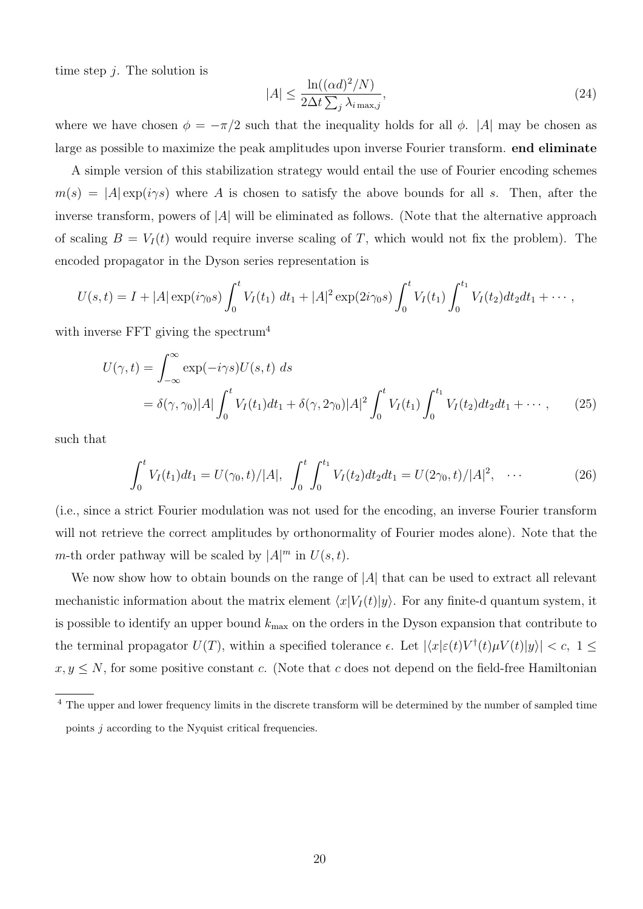time step *j*. The solution is

$$
|A| \le \frac{\ln((\alpha d)^2/N)}{2\Delta t \sum_j \lambda_{i \max,j}},\tag{24}
$$

where we have chosen  $\phi = -\pi/2$  such that the inequality holds for all  $\phi$ . |*A*| may be chosen as large as possible to maximize the peak amplitudes upon inverse Fourier transform. **end eliminate**

A simple version of this stabilization strategy would entail the use of Fourier encoding schemes  $m(s) = |A| \exp(i\gamma s)$  where *A* is chosen to satisfy the above bounds for all *s*. Then, after the inverse transform, powers of *|A|* will be eliminated as follows. (Note that the alternative approach of scaling  $B = V_I(t)$  would require inverse scaling of T, which would not fix the problem). The encoded propagator in the Dyson series representation is

$$
U(s,t) = I + |A| \exp(i\gamma_0 s) \int_0^t V_I(t_1) dt_1 + |A|^2 \exp(2i\gamma_0 s) \int_0^t V_I(t_1) \int_0^{t_1} V_I(t_2) dt_2 dt_1 + \cdots,
$$

with inverse FFT giving the spectrum<sup>4</sup>

$$
U(\gamma, t) = \int_{-\infty}^{\infty} \exp(-i\gamma s) U(s, t) \, ds
$$
  
=  $\delta(\gamma, \gamma_0) |A| \int_0^t V_I(t_1) dt_1 + \delta(\gamma, 2\gamma_0) |A|^2 \int_0^t V_I(t_1) \int_0^{t_1} V_I(t_2) dt_2 dt_1 + \cdots,$  (25)

such that

$$
\int_0^t V_I(t_1)dt_1 = U(\gamma_0, t)/|A|, \ \int_0^t \int_0^{t_1} V_I(t_2)dt_2dt_1 = U(2\gamma_0, t)/|A|^2, \ \cdots \tag{26}
$$

(i.e., since a strict Fourier modulation was not used for the encoding, an inverse Fourier transform will not retrieve the correct amplitudes by orthonormality of Fourier modes alone). Note that the *m*-th order pathway will be scaled by  $|A|^m$  in  $U(s,t)$ .

We now show how to obtain bounds on the range of *|A|* that can be used to extract all relevant mechanistic information about the matrix element  $\langle x|V_I(t)|y\rangle$ . For any finite-d quantum system, it is possible to identify an upper bound *k*max on the orders in the Dyson expansion that contribute to the terminal propagator  $U(T)$ , within a specified tolerance  $\epsilon$ . Let  $|\langle x|\epsilon(t)V^{\dagger}(t)\mu V(t)|y\rangle| < c$ ,  $1 \leq$  $x, y \leq N$ , for some positive constant *c*. (Note that *c* does not depend on the field-free Hamiltonian

<sup>&</sup>lt;sup>4</sup> The upper and lower frequency limits in the discrete transform will be determined by the number of sampled time points *j* according to the Nyquist critical frequencies.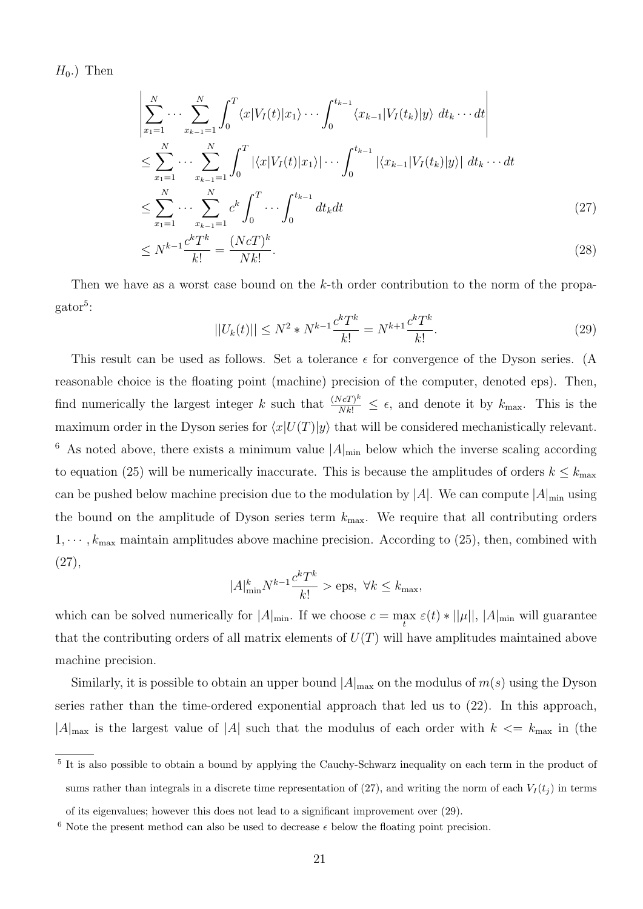$H_0$ .) Then

$$
\left| \sum_{x_1=1}^N \cdots \sum_{x_{k-1}=1}^N \int_0^T \langle x | V_I(t) | x_1 \rangle \cdots \int_0^{t_{k-1}} \langle x_{k-1} | V_I(t_k) | y \rangle \, dt_k \cdots dt \right|
$$
\n
$$
\leq \sum_{x_1=1}^N \cdots \sum_{x_{k-1}=1}^N \int_0^T |\langle x | V_I(t) | x_1 \rangle| \cdots \int_0^{t_{k-1}} |\langle x_{k-1} | V_I(t_k) | y \rangle| \, dt_k \cdots dt
$$
\n
$$
\leq \sum_{x_1=1}^N \cdots \sum_{x_{k-1}=1}^N c^k \int_0^T \cdots \int_0^{t_{k-1}} dt_k dt
$$
\n
$$
\leq N^{k-1} \frac{c^k T^k}{k!} = \frac{(N c T)^k}{N k!}.
$$
\n(28)

Then we have as a worst case bound on the *k*-th order contribution to the norm of the propagator<sup>5</sup>:

$$
||U_k(t)|| \le N^2 * N^{k-1} \frac{c^k T^k}{k!} = N^{k+1} \frac{c^k T^k}{k!}.
$$
\n(29)

This result can be used as follows. Set a tolerance  $\epsilon$  for convergence of the Dyson series. (A reasonable choice is the floating point (machine) precision of the computer, denoted eps). Then, find numerically the largest integer *k* such that  $\frac{(NcT)^k}{Nk!} \leq \epsilon$ , and denote it by  $k_{\text{max}}$ . This is the maximum order in the Dyson series for  $\langle x|U(T)|y\rangle$  that will be considered mechanistically relevant. <sup>6</sup> As noted above, there exists a minimum value  $|A|_{\text{min}}$  below which the inverse scaling according to equation (25) will be numerically inaccurate. This is because the amplitudes of orders  $k \leq k_{\text{max}}$ can be pushed below machine precision due to the modulation by  $|A|$ . We can compute  $|A|_{\text{min}}$  using the bound on the amplitude of Dyson series term *k*max. We require that all contributing orders  $1, \dots, k_{\text{max}}$  maintain amplitudes above machine precision. According to (25), then, combined with (27),

$$
|A|_{\min}^k N^{k-1} \frac{c^k T^k}{k!} > \text{eps}, \ \forall k \le k_{\max},
$$

which can be solved numerically for  $|A|_{\text{min}}$ . If we choose  $c = \max_t \varepsilon(t) * ||\mu||, |A|_{\text{min}}$  will guarantee that the contributing orders of all matrix elements of *U*(*T*) will have amplitudes maintained above machine precision.

Similarly, it is possible to obtain an upper bound  $|A|_{\text{max}}$  on the modulus of  $m(s)$  using the Dyson series rather than the time-ordered exponential approach that led us to (22). In this approach,  $|A|_{\text{max}}$  is the largest value of  $|A|$  such that the modulus of each order with  $k \leq k_{\text{max}}$  in (the

<sup>&</sup>lt;sup>5</sup> It is also possible to obtain a bound by applying the Cauchy-Schwarz inequality on each term in the product of sums rather than integrals in a discrete time representation of  $(27)$ , and writing the norm of each  $V_I(t_j)$  in terms

of its eigenvalues; however this does not lead to a significant improvement over (29).

<sup>&</sup>lt;sup>6</sup> Note the present method can also be used to decrease  $\epsilon$  below the floating point precision.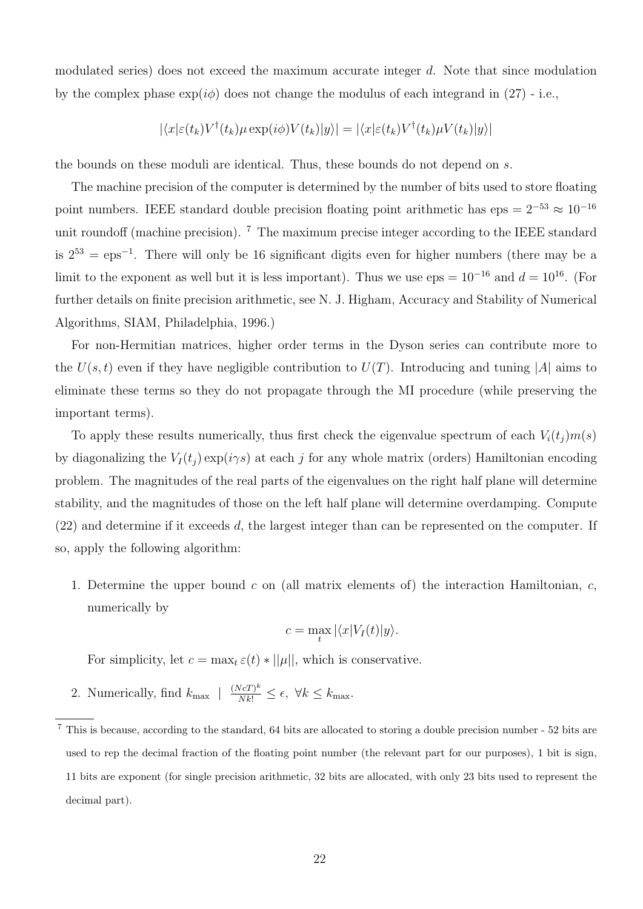modulated series) does not exceed the maximum accurate integer *d*. Note that since modulation by the complex phase  $\exp(i\phi)$  does not change the modulus of each integrand in (27) - i.e.,

$$
|\langle x|\varepsilon(t_k)V^{\dagger}(t_k)\mu \exp(i\phi)V(t_k)|y\rangle| = |\langle x|\varepsilon(t_k)V^{\dagger}(t_k)\mu V(t_k)|y\rangle|
$$

the bounds on these moduli are identical. Thus, these bounds do not depend on *s*.

The machine precision of the computer is determined by the number of bits used to store floating point numbers. IEEE standard double precision floating point arithmetic has eps =  $2^{-53} \approx 10^{-16}$ unit roundoff (machine precision). <sup>7</sup> The maximum precise integer according to the IEEE standard is 2<sup>53</sup> = eps*−*<sup>1</sup> . There will only be 16 significant digits even for higher numbers (there may be a limit to the exponent as well but it is less important). Thus we use eps =  $10^{-16}$  and  $d = 10^{16}$ . (For further details on finite precision arithmetic, see N. J. Higham, Accuracy and Stability of Numerical Algorithms, SIAM, Philadelphia, 1996.)

For non-Hermitian matrices, higher order terms in the Dyson series can contribute more to the  $U(s,t)$  even if they have negligible contribution to  $U(T)$ . Introducing and tuning |A| aims to eliminate these terms so they do not propagate through the MI procedure (while preserving the important terms).

To apply these results numerically, thus first check the eigenvalue spectrum of each  $V_i(t_j)m(s)$ by diagonalizing the  $V_I(t_j) \exp(i\gamma s)$  at each *j* for any whole matrix (orders) Hamiltonian encoding problem. The magnitudes of the real parts of the eigenvalues on the right half plane will determine stability, and the magnitudes of those on the left half plane will determine overdamping. Compute (22) and determine if it exceeds *d*, the largest integer than can be represented on the computer. If so, apply the following algorithm:

1. Determine the upper bound *c* on (all matrix elements of) the interaction Hamiltonian, *c*, numerically by

$$
c = \max_{t} |\langle x|V_I(t)|y\rangle.
$$

For simplicity, let  $c = \max_t \varepsilon(t) * ||\mu||$ , which is conservative.

2. Numerically, find  $k_{\text{max}}$   $| \frac{(NcT)^k}{Nk!} \leq \epsilon$ ,  $\forall k \leq k_{\text{max}}$ .

<sup>7</sup> This is because, according to the standard, 64 bits are allocated to storing a double precision number - 52 bits are used to rep the decimal fraction of the floating point number (the relevant part for our purposes), 1 bit is sign, 11 bits are exponent (for single precision arithmetic, 32 bits are allocated, with only 23 bits used to represent the decimal part).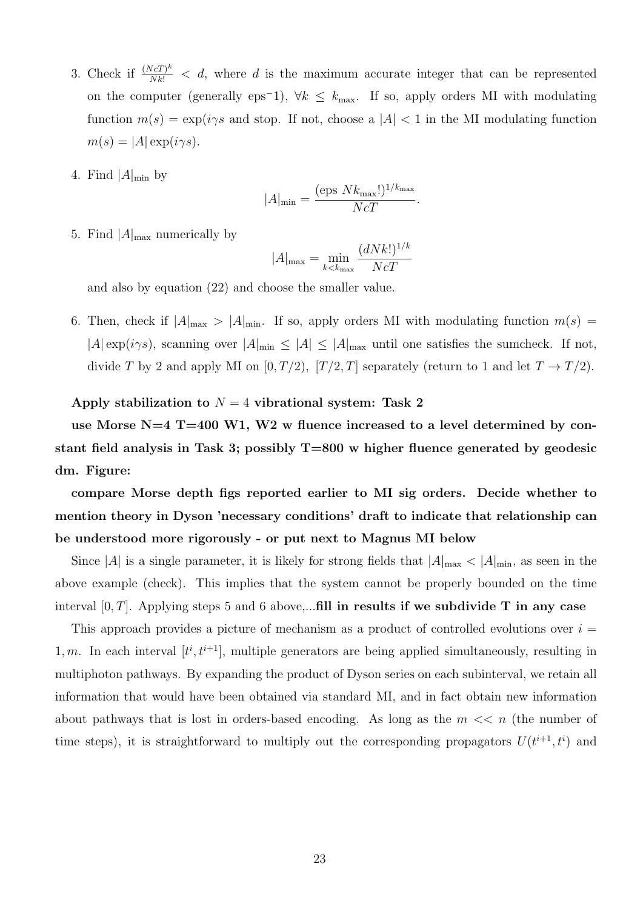- 3. Check if  $\frac{(NcT)^k}{Nk!} < d$ , where *d* is the maximum accurate integer that can be represented on the computer (generally eps*−*1), *∀k ≤ k*max. If so, apply orders MI with modulating function  $m(s) = \exp(i\gamma s)$  and stop. If not, choose a  $|A| < 1$  in the MI modulating function  $m(s) = |A| \exp(i\gamma s).$
- 4. Find  $|A|_{\text{min}}$  by

$$
|A|_{\min} = \frac{(\text{eps } N k_{\max}!)^{1/k_{\max}}}{N c T}.
$$

5. Find  $|A|_{\text{max}}$  numerically by

$$
|A|_{\text{max}} = \min_{k < k_{\text{max}}} \frac{(dNk!)^{1/k}}{Nc}
$$

and also by equation (22) and choose the smaller value.

6. Then, check if  $|A|_{\text{max}} > |A|_{\text{min}}$ . If so, apply orders MI with modulating function  $m(s)$  $|A| \exp(i\gamma s)$ , scanning over  $|A|_{\text{min}} \leq |A| \leq |A|_{\text{max}}$  until one satisfies the sumcheck. If not, divide *T* by 2 and apply MI on  $[0, T/2)$ ,  $[T/2, T]$  separately (return to 1 and let  $T \rightarrow T/2$ ).

### **Apply stabilization to** *N* = 4 **vibrational system: Task 2**

**use Morse N=4 T=400 W1, W2 w fluence increased to a level determined by constant field analysis in Task 3; possibly T=800 w higher fluence generated by geodesic dm. Figure:**

**compare Morse depth figs reported earlier to MI sig orders. Decide whether to mention theory in Dyson 'necessary conditions' draft to indicate that relationship can be understood more rigorously - or put next to Magnus MI below**

Since  $|A|$  is a single parameter, it is likely for strong fields that  $|A|_{\text{max}} < |A|_{\text{min}}$ , as seen in the above example (check). This implies that the system cannot be properly bounded on the time interval [0*, T*]. Applying steps 5 and 6 above,...**fill in results if we subdivide T in any case**

This approach provides a picture of mechanism as a product of controlled evolutions over *i* = 1, m. In each interval  $[t^i, t^{i+1}]$ , multiple generators are being applied simultaneously, resulting in multiphoton pathways. By expanding the product of Dyson series on each subinterval, we retain all information that would have been obtained via standard MI, and in fact obtain new information about pathways that is lost in orders-based encoding. As long as the  $m \ll n$  (the number of time steps), it is straightforward to multiply out the corresponding propagators  $U(t^{i+1}, t^i)$  and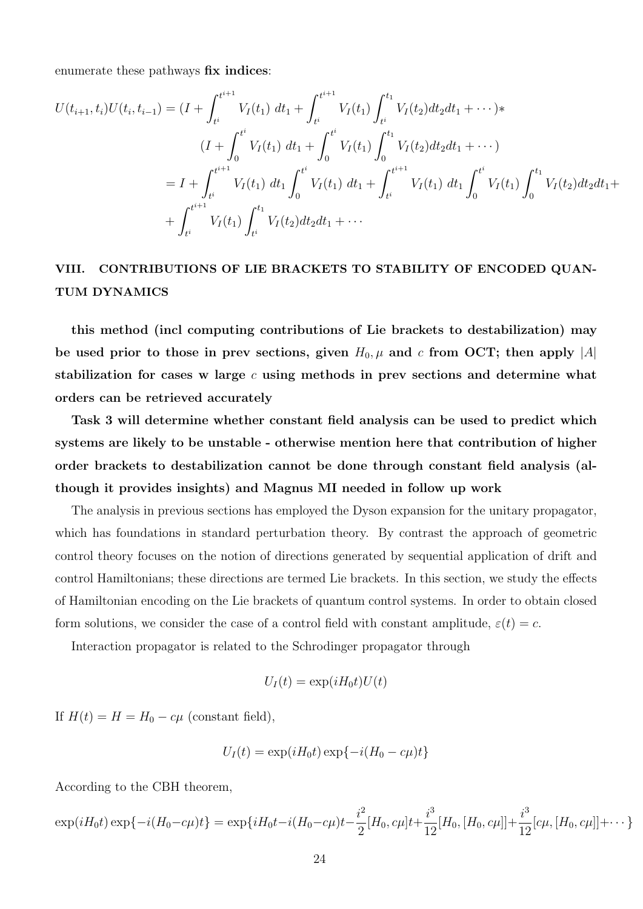enumerate these pathways **fix indices**:

$$
U(t_{i+1}, t_i)U(t_i, t_{i-1}) = (I + \int_{t^i}^{t^{i+1}} V_I(t_1) dt_1 + \int_{t^i}^{t^{i+1}} V_I(t_1) \int_{t^i}^{t_1} V_I(t_2) dt_2 dt_1 + \cdots) * (I + \int_0^{t^i} V_I(t_1) dt_1 + \int_0^{t^i} V_I(t_1) \int_0^{t_1} V_I(t_2) dt_2 dt_1 + \cdots) = I + \int_{t^i}^{t^{i+1}} V_I(t_1) dt_1 \int_0^{t^i} V_I(t_1) dt_1 + \int_{t^i}^{t^{i+1}} V_I(t_1) dt_1 \int_0^{t^i} V_I(t_1) \int_0^{t_1} V_I(t_2) dt_2 dt_1 + + \int_{t^i}^{t^{i+1}} V_I(t_1) \int_{t^i}^{t_1} V_I(t_2) dt_2 dt_1 + \cdots
$$

## **VIII. CONTRIBUTIONS OF LIE BRACKETS TO STABILITY OF ENCODED QUAN-TUM DYNAMICS**

**this method (incl computing contributions of Lie brackets to destabilization) may** be used prior to those in prev sections, given  $H_0$ ,  $\mu$  and  $c$  from OCT; then apply  $|A|$ **stabilization for cases w large** *c* **using methods in prev sections and determine what orders can be retrieved accurately**

**Task 3 will determine whether constant field analysis can be used to predict which systems are likely to be unstable - otherwise mention here that contribution of higher order brackets to destabilization cannot be done through constant field analysis (although it provides insights) and Magnus MI needed in follow up work**

The analysis in previous sections has employed the Dyson expansion for the unitary propagator, which has foundations in standard perturbation theory. By contrast the approach of geometric control theory focuses on the notion of directions generated by sequential application of drift and control Hamiltonians; these directions are termed Lie brackets. In this section, we study the effects of Hamiltonian encoding on the Lie brackets of quantum control systems. In order to obtain closed form solutions, we consider the case of a control field with constant amplitude,  $\varepsilon(t) = c$ .

Interaction propagator is related to the Schrodinger propagator through

$$
U_I(t) = \exp(iH_0t)U(t)
$$

If  $H(t) = H = H_0 - c\mu$  (constant field),

$$
U_I(t) = \exp(iH_0t)\exp\{-i(H_0 - c\mu)t\}
$$

According to the CBH theorem,

$$
\exp(iH_0t)\exp\{-i(H_0-c\mu)t\} = \exp\{iH_0t-i(H_0-c\mu)t - \frac{i^2}{2}[H_0,c\mu]t + \frac{i^3}{12}[H_0,[H_0,c\mu]] + \frac{i^3}{12}[c\mu,[H_0,c\mu]] + \cdots\}
$$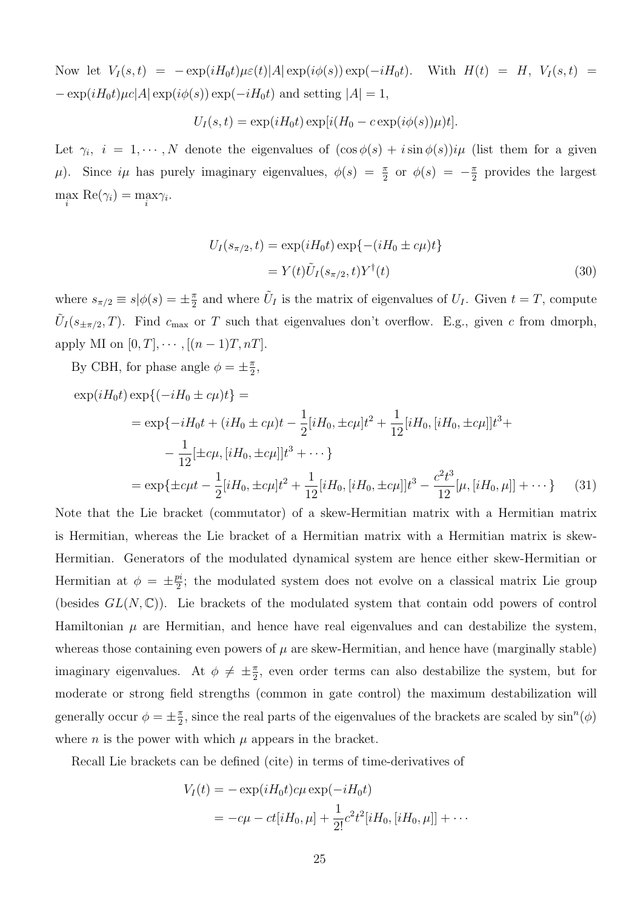Now let  $V_I(s,t) = -\exp(iH_0t)\mu\varepsilon(t)|A|\exp(i\phi(s))\exp(-iH_0t)$ . With  $H(t) = H$ ,  $V_I(s,t) =$ *−* exp(*iH*0*t*)*µc|A|* exp(*iϕ*(*s*)) exp(*−iH*0*t*) and setting *|A|* = 1,

$$
U_I(s,t) = \exp(iH_0t)\exp[i(H_0 - c\exp(i\phi(s))\mu)t].
$$

Let  $\gamma_i$ ,  $i = 1, \dots, N$  denote the eigenvalues of  $(\cos \phi(s) + i \sin \phi(s))$ *iµ* (list them for a given  $\mu$ ). Since  $i\mu$  has purely imaginary eigenvalues,  $\phi(s) = \frac{\pi}{2}$  or  $\phi(s) = -\frac{\pi}{2}$  $\frac{\pi}{2}$  provides the largest  $\max_i \text{Re}(\gamma_i) = \max_i \gamma_i.$ 

$$
U_I(s_{\pi/2}, t) = \exp(iH_0t) \exp\{- (iH_0 \pm c\mu)t\}
$$
  
=  $Y(t)\tilde{U}_I(s_{\pi/2}, t)Y^{\dagger}(t)$  (30)

where  $s_{\pi/2} \equiv s | \phi(s) = \pm \frac{\pi}{2}$  $\frac{\pi}{2}$  and where  $\tilde{U}_I$  is the matrix of eigenvalues of  $U_I$ . Given  $t = T$ , compute  $\tilde{U}_I(s_{\pm \pi/2}, T)$ . Find  $c_{\text{max}}$  or *T* such that eigenvalues don't overflow. E.g., given *c* from dmorph, apply MI on  $[0, T], \cdots, [(n - 1)T, nT].$ 

By CBH, for phase angle  $\phi = \pm \frac{\pi}{2}$  $\frac{\pi}{2}$ 

$$
\exp(iH_0t)\exp\{(-iH_0 \pm c\mu)t\} =
$$
  
= 
$$
\exp\{-iH_0t + (iH_0 \pm c\mu)t - \frac{1}{2}[iH_0, \pm c\mu]t^2 + \frac{1}{12}[iH_0, [iH_0, \pm c\mu]]t^3 +
$$
  

$$
-\frac{1}{12}[\pm c\mu, [iH_0, \pm c\mu]]t^3 + \cdots\}
$$
  
= 
$$
\exp\{\pm c\mu t - \frac{1}{2}[iH_0, \pm c\mu]t^2 + \frac{1}{12}[iH_0, [iH_0, \pm c\mu]]t^3 - \frac{c^2t^3}{12}[\mu, [iH_0, \mu]] + \cdots\}
$$
(31)

Note that the Lie bracket (commutator) of a skew-Hermitian matrix with a Hermitian matrix is Hermitian, whereas the Lie bracket of a Hermitian matrix with a Hermitian matrix is skew-Hermitian. Generators of the modulated dynamical system are hence either skew-Hermitian or Hermitian at  $\phi = \pm \frac{pi}{2}$  $\frac{20}{2}$ ; the modulated system does not evolve on a classical matrix Lie group (besides  $GL(N,\mathbb{C})$ ). Lie brackets of the modulated system that contain odd powers of control Hamiltonian  $\mu$  are Hermitian, and hence have real eigenvalues and can destabilize the system, whereas those containing even powers of  $\mu$  are skew-Hermitian, and hence have (marginally stable) imaginary eigenvalues. At  $\phi \neq \pm \frac{\pi}{2}$  $\frac{\pi}{2}$ , even order terms can also destabilize the system, but for moderate or strong field strengths (common in gate control) the maximum destabilization will generally occur  $\phi = \pm \frac{\pi}{2}$  $\frac{\pi}{2}$ , since the real parts of the eigenvalues of the brackets are scaled by  $\sin^n(\phi)$ where  $n$  is the power with which  $\mu$  appears in the bracket.

Recall Lie brackets can be defined (cite) in terms of time-derivatives of

$$
V_I(t) = -\exp(iH_0t)c\mu \exp(-iH_0t)
$$
  
=  $-c\mu - ct[iH_0, \mu] + \frac{1}{2!}c^2t^2[iH_0, [iH_0, \mu]] + \cdots$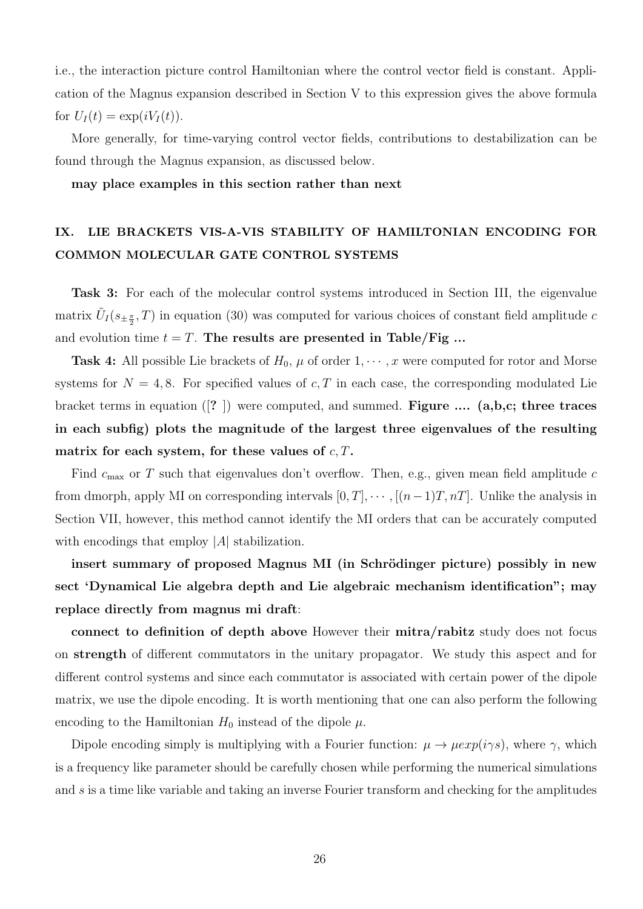i.e., the interaction picture control Hamiltonian where the control vector field is constant. Application of the Magnus expansion described in Section V to this expression gives the above formula for  $U_I(t) = \exp(i V_I(t)).$ 

More generally, for time-varying control vector fields, contributions to destabilization can be found through the Magnus expansion, as discussed below.

**may place examples in this section rather than next**

# **IX. LIE BRACKETS VIS-A-VIS STABILITY OF HAMILTONIAN ENCODING FOR COMMON MOLECULAR GATE CONTROL SYSTEMS**

**Task 3:** For each of the molecular control systems introduced in Section III, the eigenvalue matrix  $\tilde{U}_I(s_{\pm \frac{\pi}{2}},T)$  in equation (30) was computed for various choices of constant field amplitude *c* and evolution time  $t = T$ . The results are presented in Table/Fig ...

**Task 4:** All possible Lie brackets of  $H_0$ ,  $\mu$  of order  $1, \dots, x$  were computed for rotor and Morse systems for  $N = 4, 8$ . For specified values of  $c, T$  in each case, the corresponding modulated Lie bracket terms in equation ([**?** ]) were computed, and summed. **Figure .... (a,b,c; three traces in each subfig) plots the magnitude of the largest three eigenvalues of the resulting matrix for each system, for these values of** *c, T***.**

Find *c*max or *T* such that eigenvalues don't overflow. Then, e.g., given mean field amplitude *c* from dmorph, apply MI on corresponding intervals  $[0, T]$ ,  $\cdots$ ,  $[(n-1)T, nT]$ . Unlike the analysis in Section VII, however, this method cannot identify the MI orders that can be accurately computed with encodings that employ *|A|* stabilization.

**insert summary of proposed Magnus MI (in Schrödinger picture) possibly in new sect 'Dynamical Lie algebra depth and Lie algebraic mechanism identification"; may replace directly from magnus mi draft**:

**connect to definition of depth above** However their **mitra/rabitz** study does not focus on **strength** of different commutators in the unitary propagator. We study this aspect and for different control systems and since each commutator is associated with certain power of the dipole matrix, we use the dipole encoding. It is worth mentioning that one can also perform the following encoding to the Hamiltonian  $H_0$  instead of the dipole  $\mu$ .

Dipole encoding simply is multiplying with a Fourier function:  $\mu \to \mu exp(i\gamma s)$ , where  $\gamma$ , which is a frequency like parameter should be carefully chosen while performing the numerical simulations and *s* is a time like variable and taking an inverse Fourier transform and checking for the amplitudes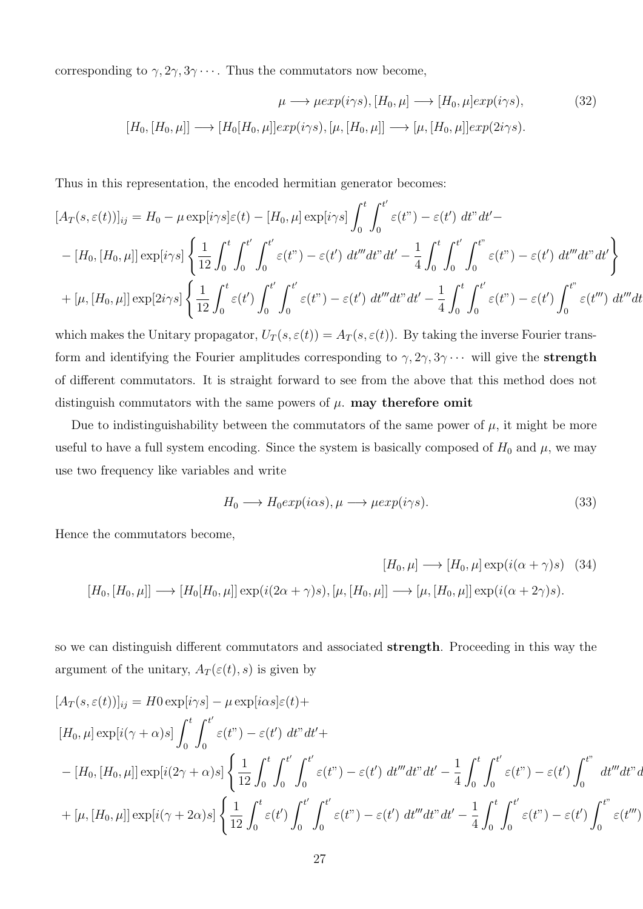corresponding to  $\gamma$ ,  $2\gamma$ ,  $3\gamma$   $\cdots$ . Thus the commutators now become,

$$
\mu \longrightarrow \mu exp(i\gamma s), [H_0, \mu] \longrightarrow [H_0, \mu] exp(i\gamma s), \tag{32}
$$

$$
[H_0, [H_0, \mu]] \longrightarrow [H_0[H_0, \mu]] exp(i\gamma s), [\mu, [H_0, \mu]] \longrightarrow [\mu, [H_0, \mu]] exp(2i\gamma s).
$$

Thus in this representation, the encoded hermitian generator becomes:

$$
[A_T(s,\varepsilon(t))]_{ij} = H_0 - \mu \exp[i\gamma s] \varepsilon(t) - [H_0, \mu] \exp[i\gamma s] \int_0^t \int_0^{t'} \varepsilon(t^{\prime\prime}) - \varepsilon(t^{\prime}) dt^{\prime\prime} dt^{\prime} -
$$

$$
-[H_0, [H_0, \mu]] \exp[i\gamma s] \left\{ \frac{1}{12} \int_0^t \int_0^{t'} \int_0^{t'} \varepsilon(t^{\prime\prime}) - \varepsilon(t^{\prime}) dt^{\prime\prime\prime} dt^{\prime\prime} dt - \frac{1}{4} \int_0^t \int_0^{t'} \int_0^{t^{\prime\prime}} \varepsilon(t^{\prime\prime}) - \varepsilon(t^{\prime}) dt^{\prime\prime\prime} dt^{\prime\prime} dt^{\prime} \right\}
$$

$$
+ [\mu, [H_0, \mu]] \exp[2i\gamma s] \left\{ \frac{1}{12} \int_0^t \varepsilon(t^{\prime}) \int_0^{t'} \int_0^{t'} \varepsilon(t^{\prime\prime}) - \varepsilon(t^{\prime}) dt^{\prime\prime\prime} dt^{\prime\prime} dt - \frac{1}{4} \int_0^t \int_0^{t'} \varepsilon(t^{\prime\prime}) - \varepsilon(t^{\prime}) \int_0^{t^{\prime\prime}} \varepsilon(t^{\prime\prime}) dt^{\prime\prime\prime} dt \right\}
$$

which makes the Unitary propagator,  $U_T(s, \varepsilon(t)) = A_T(s, \varepsilon(t))$ . By taking the inverse Fourier transform and identifying the Fourier amplitudes corresponding to  $\gamma$ ,  $2\gamma$ ,  $3\gamma \cdots$  will give the **strength** of different commutators. It is straight forward to see from the above that this method does not distinguish commutators with the same powers of *µ*. **may therefore omit**

Due to indistinguishability between the commutators of the same power of  $\mu$ , it might be more useful to have a full system encoding. Since the system is basically composed of  $H_0$  and  $\mu$ , we may use two frequency like variables and write

$$
H_0 \longrightarrow H_0 \exp(i\alpha s), \mu \longrightarrow \mu \exp(i\gamma s). \tag{33}
$$

Hence the commutators become,

$$
[H_0, \mu] \longrightarrow [H_0, \mu] \longrightarrow [H_0, \mu] \exp(i(\alpha + \gamma)s)
$$
 (34)  

$$
[H_0, [H_0, \mu]] \longrightarrow [H_0[H_0, \mu]] \exp(i(2\alpha + \gamma)s), [\mu, [H_0, \mu]] \longrightarrow [\mu, [H_0, \mu]] \exp(i(\alpha + 2\gamma)s).
$$

so we can distinguish different commutators and associated **strength**. Proceeding in this way the argument of the unitary,  $A_T(\varepsilon(t), s)$  is given by

$$
[A_T(s,\varepsilon(t))]_{ij} = H0 \exp[i\gamma s] - \mu \exp[i\alpha s] \varepsilon(t) +
$$
  
\n
$$
[H_0, \mu] \exp[i(\gamma + \alpha)s] \int_0^t \int_0^{t'} \varepsilon(t^{\prime\prime}) - \varepsilon(t^{\prime}) dt^{\prime\prime} dt^{\prime} +
$$
  
\n
$$
-[H_0, [H_0, \mu]] \exp[i(2\gamma + \alpha)s] \left\{ \frac{1}{12} \int_0^t \int_0^{t'} \int_0^{t'} \varepsilon(t^{\prime\prime}) - \varepsilon(t^{\prime}) dt^{\prime\prime\prime} dt^{\prime\prime} dt^{\prime} - \frac{1}{4} \int_0^t \int_0^{t'} \varepsilon(t^{\prime\prime}) - \varepsilon(t^{\prime}) \int_0^{t^{\prime\prime}} dt^{\prime\prime\prime} dt^{\prime\prime} dt^{\prime\prime} dt^{\prime} \right\}
$$
  
\n
$$
+ [\mu, [H_0, \mu]] \exp[i(\gamma + 2\alpha)s] \left\{ \frac{1}{12} \int_0^t \varepsilon(t^{\prime}) \int_0^{t'} \int_0^{t'} \varepsilon(t^{\prime\prime}) - \varepsilon(t^{\prime}) dt^{\prime\prime\prime} dt^{\prime\prime} dt^{\prime} - \frac{1}{4} \int_0^t \int_0^{t'} \varepsilon(t^{\prime\prime}) - \varepsilon(t^{\prime}) \int_0^{t^{\prime\prime}} \varepsilon(t^{\prime\prime}) \right]
$$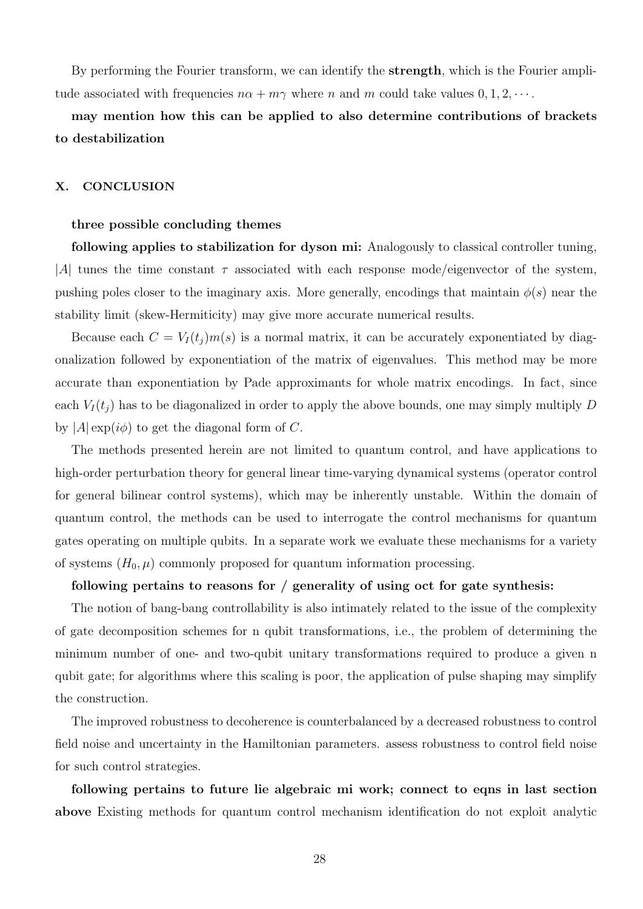By performing the Fourier transform, we can identify the **strength**, which is the Fourier amplitude associated with frequencies  $n\alpha + m\gamma$  where *n* and *m* could take values  $0, 1, 2, \cdots$ .

### **may mention how this can be applied to also determine contributions of brackets to destabilization**

### **X. CONCLUSION**

#### **three possible concluding themes**

**following applies to stabilization for dyson mi:** Analogously to classical controller tuning, *|A|* tunes the time constant *τ* associated with each response mode/eigenvector of the system, pushing poles closer to the imaginary axis. More generally, encodings that maintain  $\phi(s)$  near the stability limit (skew-Hermiticity) may give more accurate numerical results.

Because each  $C = V_I(t_i) m(s)$  is a normal matrix, it can be accurately exponentiated by diagonalization followed by exponentiation of the matrix of eigenvalues. This method may be more accurate than exponentiation by Pade approximants for whole matrix encodings. In fact, since each  $V_I(t_i)$  has to be diagonalized in order to apply the above bounds, one may simply multiply *D* by  $|A| \exp(i\phi)$  to get the diagonal form of C.

The methods presented herein are not limited to quantum control, and have applications to high-order perturbation theory for general linear time-varying dynamical systems (operator control for general bilinear control systems), which may be inherently unstable. Within the domain of quantum control, the methods can be used to interrogate the control mechanisms for quantum gates operating on multiple qubits. In a separate work we evaluate these mechanisms for a variety of systems  $(H_0, \mu)$  commonly proposed for quantum information processing.

#### **following pertains to reasons for / generality of using oct for gate synthesis:**

The notion of bang-bang controllability is also intimately related to the issue of the complexity of gate decomposition schemes for n qubit transformations, i.e., the problem of determining the minimum number of one- and two-qubit unitary transformations required to produce a given n qubit gate; for algorithms where this scaling is poor, the application of pulse shaping may simplify the construction.

The improved robustness to decoherence is counterbalanced by a decreased robustness to control field noise and uncertainty in the Hamiltonian parameters. assess robustness to control field noise for such control strategies.

**following pertains to future lie algebraic mi work; connect to eqns in last section above** Existing methods for quantum control mechanism identification do not exploit analytic